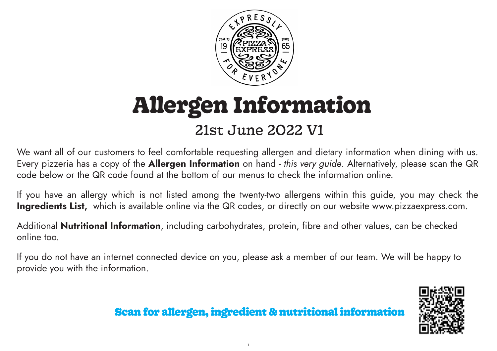

# 21st June 2022 V1 **Allergen Information**

We want all of our customers to feel comfortable requesting allergen and dietary information when dining with us. Every pizzeria has a copy of the Allergen Information on hand - *this very guide*. Alternatively, please scan the QR code below or the QR code found at the bottom of our menus to check the information online.

If you have an allergy which is not listed among the twenty-two allergens within this guide, you may check the Ingredients List, which is available online via the QR codes, or directly on our website www.pizzaexpress.com.

Additional **Nutritional Information**, including carbohydrates, protein, fibre and other values, can be checked online too.

If you do not have an internet connected device on you, please ask a member of our team. We will be happy to provide you with the information.



# Scan for allergen, ingredient & nutritional information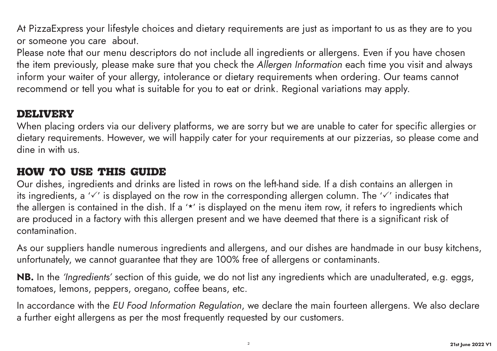At PizzaExpress your lifestyle choices and dietary requirements are just as important to us as they are to you or someone you care about.

Please note that our menu descriptors do not include all ingredients or allergens. Even if you have chosen the item previously, please make sure that you check the *Allergen Information* each time you visit and always inform your waiter of your allergy, intolerance or dietary requirements when ordering. Our teams cannot recommend or tell you what is suitable for you to eat or drink. Regional variations may apply.

### **DELIVERY**

When placing orders via our delivery platforms, we are sorry but we are unable to cater for specific allergies or dietary requirements. However, we will happily cater for your requirements at our pizzerias, so please come and dine in with us.

### **HOW TO USE THIS GUIDE**

Our dishes, ingredients and drinks are listed in rows on the left-hand side. If a dish contains an allergen in its ingredients, a ' $\checkmark$ ' is displayed on the row in the corresponding allergen column. The ' $\checkmark$ ' indicates that the allergen is contained in the dish. If a '\*' is displayed on the menu item row, it refers to ingredients which are produced in a factory with this allergen present and we have deemed that there is a significant risk of contamination.

As our suppliers handle numerous ingredients and allergens, and our dishes are handmade in our busy kitchens, unfortunately, we cannot guarantee that they are 100% free of allergens or contaminants.

NB. In the *'Ingredients'* section of this guide, we do not list any ingredients which are unadulterated, e.g. eggs, tomatoes, lemons, peppers, oregano, coffee beans, etc.

In accordance with the *EU Food Information Regulation*, we declare the main fourteen allergens. We also declare a further eight allergens as per the most frequently requested by our customers.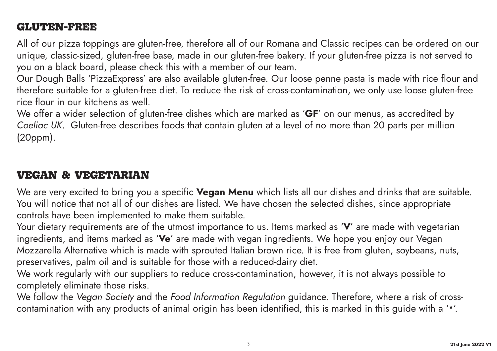# **GLUTEN-FREE**

All of our pizza toppings are gluten-free, therefore all of our Romana and Classic recipes can be ordered on our unique, classic-sized, gluten-free base, made in our gluten-free bakery. If your gluten-free pizza is not served to you on a black board, please check this with a member of our team.

Our Dough Balls 'PizzaExpress' are also available gluten-free. Our loose penne pasta is made with rice flour and therefore suitable for a gluten-free diet. To reduce the risk of cross-contamination, we only use loose gluten-free rice flour in our kitchens as well.

We offer a wider selection of gluten-free dishes which are marked as 'GF' on our menus, as accredited by *Coeliac UK*. Gluten-free describes foods that contain gluten at a level of no more than 20 parts per million (20ppm).

# **VEGAN & VEGETARIAN**

We are very excited to bring you a specific **Vegan Menu** which lists all our dishes and drinks that are suitable. You will notice that not all of our dishes are listed. We have chosen the selected dishes, since appropriate controls have been implemented to make them suitable.

Your dietary requirements are of the utmost importance to us. Items marked as 'V' are made with vegetarian ingredients, and items marked as 'Ve' are made with vegan ingredients. We hope you enjoy our Vegan Mozzarella Alternative which is made with sprouted Italian brown rice. It is free from gluten, soybeans, nuts, preservatives, palm oil and is suitable for those with a reduced-dairy diet.

We work regularly with our suppliers to reduce cross-contamination, however, it is not always possible to completely eliminate those risks.

We follow the *Vegan Society* and the *Food Information Regulation* guidance. Therefore, where a risk of crosscontamination with any products of animal origin has been identified, this is marked in this guide with a '\*'.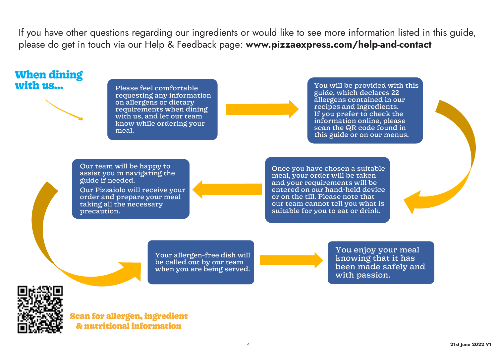If you have other questions regarding our ingredients or would like to see more information listed in this guide, please do get in touch via our Help & Feedback page: www.pizzaexpress.com/help-and-contact

# **When dining**

**with us...** Please feel comfortable requesting any information on allergens or dietary requirements when dining with us, and let our team know while ordering your meal.

You will be provided with this guide, which declares 22 allergens contained in our recipes and ingredients. If you prefer to check the information online, please scan the QR code found in this guide or on our menus.

Our team will be happy to assist you in navigating the guide if needed.

Our Pizzaiolo will receive your order and prepare your meal taking all the necessary precaution.

Once you have chosen a suitable meal, your order will be taken and your requirements will be entered on our hand-held device or on the till. Please note that our team cannot tell you what is suitable for you to eat or drink.

Your allergen-free dish will be called out by our team when you are being served.

You enjoy your meal knowing that it has been made safely and with passion.



Scan for allergen, ingredient & nutritional information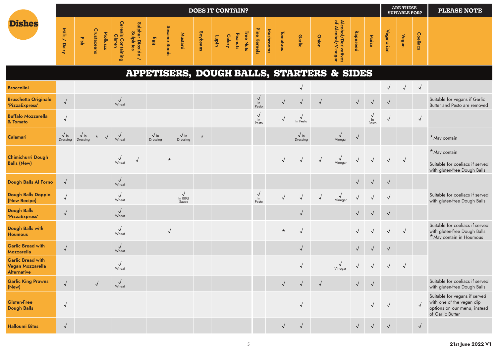|                                                                           |                          |                         |             |          |                                     |                                         |                           |              |                                     | <b>DOES IT CONTAIN?</b> |       |               |         |           |                          |           |              |                          |              |                                                      |              |                  |              | <b>ARE THESE</b><br><b>SUITABLE FOR?</b> |              | <b>PLEASE NOTE</b>                                                                                             |
|---------------------------------------------------------------------------|--------------------------|-------------------------|-------------|----------|-------------------------------------|-----------------------------------------|---------------------------|--------------|-------------------------------------|-------------------------|-------|---------------|---------|-----------|--------------------------|-----------|--------------|--------------------------|--------------|------------------------------------------------------|--------------|------------------|--------------|------------------------------------------|--------------|----------------------------------------------------------------------------------------------------------------|
| <b>Dishes</b>                                                             | Milk / Dairy             | Fish                    | Crustaceans | Molluscs | <b>Cereals Containing</b><br>Gluten | Sulphur Dioxide<br>Sulphur Dioxide<br>╰ | Egg                       | Sesame Seeds | Mustard                             | Soybeans                | unqin | <b>Celery</b> | Peanuts | Tree Nuts | Pine Kernels             | Mushrooms | Tomatoes     | <b>Garlic</b>            | Onion        | Alcohol/Derivatives<br>of Alcohol/Vinegar            | Rapeseed     | Maize            | Vegetarian   | Vegan                                    | Coeliacs     |                                                                                                                |
|                                                                           |                          |                         |             |          |                                     |                                         |                           |              |                                     |                         |       |               |         |           |                          |           |              |                          |              | <b>APPETISERS, DOUGH BALLS, STARTERS &amp; SIDES</b> |              |                  |              |                                          |              |                                                                                                                |
| <b>Broccolini</b>                                                         |                          |                         |             |          |                                     |                                         |                           |              |                                     |                         |       |               |         |           |                          |           |              |                          |              |                                                      |              |                  | $\sqrt{ }$   | $\sqrt{2}$                               | $\sqrt{ }$   |                                                                                                                |
| <b>Bruschetta Originale</b><br>'PizzaExpress'                             | $\checkmark$             |                         |             |          | $\sqrt{\frac{1}{2}}$                |                                         |                           |              |                                     |                         |       |               |         |           | $\frac{1}{\pi}$<br>Pesto |           | $\sqrt{ }$   | $\checkmark$             | $\sqrt{ }$   |                                                      | $\sqrt{2}$   | $\checkmark$     | $\sqrt{ }$   |                                          |              | Suitable for vegans if Garlic<br>Butter and Pesto are removed                                                  |
| <b>Buffalo Mozzarella</b><br>& Tomato                                     | $\sqrt{2}$               |                         |             |          |                                     |                                         |                           |              |                                     |                         |       |               |         |           | $\frac{1}{2}$<br>Pesto   |           | $\sqrt{ }$   | $\sqrt{\frac{1}{2}}$     |              |                                                      |              | √<br>ln<br>Pesto | $\checkmark$ |                                          | $\sqrt{2}$   |                                                                                                                |
| Calamari                                                                  | $\sqrt{ln}$<br>Dressing  | $\sqrt{ln}$<br>Dressing | $\star$     |          | $\sqrt{ }$<br>Wheat                 |                                         | $\sqrt{ \ln}$<br>Dressing |              | $\sqrt{ln}$<br>Dressing             | $\star$                 |       |               |         |           |                          |           |              | $\sqrt{\ln}$<br>Dressing |              | $\checkmark$<br>Vinegar                              |              |                  |              |                                          |              | *May contain                                                                                                   |
| <b>Chimichurri Dough</b><br><b>Balls (New)</b>                            |                          |                         |             |          | $\sqrt{\frac{1}{2}}$                | $\sqrt{ }$                              |                           | $^\star$     |                                     |                         |       |               |         |           |                          |           | $\sqrt{ }$   |                          | $\sqrt{2}$   | $\sqrt{\frac{1}{2}}$                                 |              |                  | $\sqrt{ }$   |                                          |              | *May contain<br>Suitable for coeliacs if served<br>with gluten-free Dough Balls                                |
| Dough Balls Al Forno                                                      | $\sqrt{ }$               |                         |             |          | $\sqrt{\frac{1}{2}}$                |                                         |                           |              |                                     |                         |       |               |         |           |                          |           |              |                          |              |                                                      | $\sqrt{ }$   | $\checkmark$     | $\sqrt{2}$   |                                          |              |                                                                                                                |
| Dough Balls Doppio<br>(New Recipe)                                        | $\sqrt{}$                |                         |             |          | $\sqrt{ }$<br>Wheat                 |                                         |                           |              | $\sqrt{\frac{1}{\ln BBO}}$<br>Sauce |                         |       |               |         |           | $\frac{1}{\pi}$<br>Pesto |           | $\checkmark$ | $\sqrt{}$                | $\checkmark$ | $\sqrt{\frac{1}{2}}$                                 | $\sqrt{ }$   |                  | $\sqrt{ }$   |                                          |              | Suitable for coeliacs if served<br>with gluten-free Dough Balls                                                |
| <b>Dough Balls</b><br>'PizzaExpress'                                      | $\sqrt{}$                |                         |             |          | $\sqrt{ }$<br>Wheat                 |                                         |                           |              |                                     |                         |       |               |         |           |                          |           |              | $\checkmark$             |              |                                                      | $\checkmark$ |                  | $\sqrt{ }$   |                                          |              |                                                                                                                |
| Dough Balls with<br><b>Houmous</b>                                        |                          |                         |             |          | $\sqrt{ }$<br>Wheat                 |                                         |                           | $\sqrt{}$    |                                     |                         |       |               |         |           |                          |           | $\star$      | $\checkmark$             |              |                                                      |              |                  | $\sqrt{ }$   | $\sqrt{2}$                               |              | Suitable for coeliacs if served<br>with gluten-free Dough Balls<br>*May contain in Houmous                     |
| <b>Garlic Bread with</b><br>Mozzarella                                    | $\sqrt{}$                |                         |             |          | $\sqrt{\frac{1}{2}}$                |                                         |                           |              |                                     |                         |       |               |         |           |                          |           |              | $\sqrt{}$                |              |                                                      | $\sqrt{ }$   | $\vee$           | $\sqrt{ }$   |                                          |              |                                                                                                                |
| <b>Garlic Bread with</b><br><b>Vegan Mozzarella</b><br><b>Alternative</b> |                          |                         |             |          | $\sqrt{2}$<br>Wheat                 |                                         |                           |              |                                     |                         |       |               |         |           |                          |           |              | $\checkmark$             |              | $\checkmark$<br>Vinegar                              | √            | $\vee$           | $\sqrt{ }$   |                                          |              |                                                                                                                |
| <b>Garlic King Prawns</b><br>(New)                                        | $\sqrt{ }$               |                         | $\sqrt{ }$  |          | $\sqrt{\frac{1}{2}}$                |                                         |                           |              |                                     |                         |       |               |         |           |                          |           | $\sqrt{ }$   | $\sqrt{ }$               | $\sqrt{ }$   |                                                      | $\sqrt{ }$   | $\sqrt{ }$       |              |                                          |              | Suitable for coeliacs if served<br>with gluten-free Dough Balls                                                |
| <b>Gluten-Free</b><br><b>Dough Balls</b>                                  | $\overline{\phantom{0}}$ |                         |             |          |                                     |                                         |                           |              |                                     |                         |       |               |         |           |                          |           |              | $\checkmark$             |              |                                                      |              |                  |              |                                          |              | Suitable for vegans if served<br>with one of the vegan dip<br>options on our menu, instead<br>of Garlic Butter |
| <b>Halloumi Bites</b>                                                     | $\checkmark$             |                         |             |          |                                     |                                         |                           |              |                                     |                         |       |               |         |           |                          |           | $\sqrt{ }$   | $\sqrt{ }$               |              |                                                      | $\sqrt{ }$   |                  | $\sqrt{ }$   |                                          | $\checkmark$ |                                                                                                                |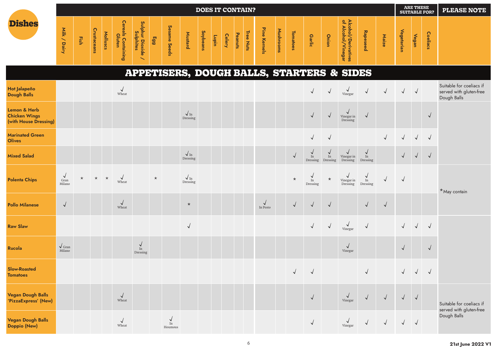|                                                                          |                                                 |         |             |          |                              |                                                            |         |                            |                          | <b>DOES IT CONTAIN?</b> |       |               |         |           |                        |           |            |                                |                            |                                                      |                                |            |            | <b>ARE THESE</b><br><b>SUITABLE FOR?</b> |                 | <b>PLEASE NOTE</b>                                                 |
|--------------------------------------------------------------------------|-------------------------------------------------|---------|-------------|----------|------------------------------|------------------------------------------------------------|---------|----------------------------|--------------------------|-------------------------|-------|---------------|---------|-----------|------------------------|-----------|------------|--------------------------------|----------------------------|------------------------------------------------------|--------------------------------|------------|------------|------------------------------------------|-----------------|--------------------------------------------------------------------|
| <b>Dishes</b>                                                            | Milk / Dairy                                    | Fish    | Crustaceans | Molluscs | Cereals Containing<br>Gluten | Sulphur Dioxide ,<br>Sulphites<br>$\overline{\phantom{0}}$ | 663     | Sesame Seeds               | Mustard                  | Soybeans                | Lupin | <b>Celery</b> | Peanuts | Tree Nuts | Pine Kernels           | Mushrooms | Tomatoes   | <b>Garlic</b>                  | Onion                      | Alcohol/Derivatives<br>of Alcohol/Vinegar            | Rapeseed                       | Maize      | Vegetarian | Vegan                                    | <b>Coeliacs</b> |                                                                    |
|                                                                          |                                                 |         |             |          |                              |                                                            |         |                            |                          |                         |       |               |         |           |                        |           |            |                                |                            | <b>APPETISERS, DOUGH BALLS, STARTERS &amp; SIDES</b> |                                |            |            |                                          |                 |                                                                    |
| Hot Jalapeño<br><b>Dough Balls</b>                                       |                                                 |         |             |          | $\sqrt{}$<br>Wheat           |                                                            |         |                            |                          |                         |       |               |         |           |                        |           |            | $\sqrt{ }$                     | $\checkmark$               | √<br>Vinegar                                         | $\sqrt{ }$                     | $\sqrt{ }$ | $\sqrt{ }$ | $\sqrt{ }$                               |                 | Suitable for coeliacs if<br>served with gluten-free<br>Dough Balls |
| <b>Lemon &amp; Herb</b><br><b>Chicken Wings</b><br>(with House Dressing) |                                                 |         |             |          |                              |                                                            |         |                            | $\sqrt{\ln}$<br>Dressing |                         |       |               |         |           |                        |           |            | $\sqrt{ }$                     | $\checkmark$               | $\checkmark$<br>Vinegar in<br>Dressing               | $\vee$                         |            |            |                                          | $\sqrt{2}$      |                                                                    |
| <b>Marinated Green</b><br><b>Olives</b>                                  |                                                 |         |             |          |                              |                                                            |         |                            |                          |                         |       |               |         |           |                        |           |            |                                | $\sqrt{ }$                 |                                                      |                                | $\sqrt{}$  | $\sqrt{ }$ | $\sqrt{ }$                               | $\sqrt{ }$      |                                                                    |
| <b>Mixed Salad</b>                                                       |                                                 |         |             |          |                              |                                                            |         |                            | $\sqrt{\ln}$<br>Dressing |                         |       |               |         |           |                        |           | $\sqrt{ }$ | $\checkmark$<br>In<br>Dressing | √<br>$\rm{In}$<br>Dressing | √<br>Vinegar in<br>Dressing                          | $\checkmark$<br>In<br>Dressing |            | $\sqrt{ }$ | $\sqrt{2}$                               | $\sqrt{ }$      |                                                                    |
| <b>Polenta Chips</b>                                                     | $\checkmark$<br>$\operatorname{Gran}$<br>Milano | $\star$ | $\star$     | $\star$  | $\sqrt{ }$<br>Wheat          |                                                            | $\star$ |                            | $\sqrt{\ln}$<br>Dressing |                         |       |               |         |           |                        |           | $\star$    | $\checkmark$<br>In<br>Dressing | $^\star$                   | √<br>Vinegar in<br>Dressing                          | $\frac{V}{\ln}$<br>Dressing    | $\sqrt{ }$ | $\sqrt{ }$ |                                          |                 | *May contain                                                       |
| <b>Pollo Milanese</b>                                                    | $\checkmark$                                    |         |             |          | $\sqrt{ }$<br>Wheat          |                                                            |         |                            | $\star$                  |                         |       |               |         |           | $\sqrt{ }$<br>In Pesto |           | $\sqrt{2}$ | $\sqrt{2}$                     | $\sqrt{ }$                 |                                                      | $\sqrt{ }$                     | $\sqrt{ }$ |            |                                          |                 |                                                                    |
| <b>Raw Slaw</b>                                                          |                                                 |         |             |          |                              |                                                            |         |                            | $\sqrt{ }$               |                         |       |               |         |           |                        |           |            | $\sqrt{ }$                     | $\sqrt{2}$                 | $\sqrt{\frac{1}{\text{Vinegar}}}$                    | $\sqrt{2}$                     |            | $\sqrt{2}$ | $\sqrt{ }$                               | $\sqrt{2}$      |                                                                    |
| Rucola                                                                   | $\sqrt{Gran}$<br>Milano                         |         |             |          |                              | $\vee$<br>In<br>Dressing                                   |         |                            |                          |                         |       |               |         |           |                        |           |            |                                |                            | $\checkmark$<br>Vinegar                              |                                |            | $\sqrt{ }$ |                                          | $\sqrt{ }$      |                                                                    |
| <b>Slow-Roasted</b><br><b>Tomatoes</b>                                   |                                                 |         |             |          |                              |                                                            |         |                            |                          |                         |       |               |         |           |                        |           | $\sqrt{2}$ | $\sqrt{ }$                     |                            |                                                      | $\sqrt{}$                      |            |            |                                          | $\sqrt{ }$      |                                                                    |
| <b>Vegan Dough Balls</b><br>'PizzaExpress' (New)                         |                                                 |         |             |          | $\sqrt{ }$<br>Wheat          |                                                            |         |                            |                          |                         |       |               |         |           |                        |           |            | $\sqrt{2}$                     |                            | $\sqrt{\frac{1}{\text{Vinegar}}}$                    | $\sqrt{2}$                     | $\sqrt{ }$ | $\sqrt{2}$ | $\sqrt{ }$                               |                 | Suitable for coeliacs if                                           |
| <b>Vegan Dough Balls</b><br>Doppio (New)                                 |                                                 |         |             |          | $\sqrt{ }$<br>Wheat          |                                                            |         | $\frac{V}{\ln}$<br>Houmous |                          |                         |       |               |         |           |                        |           |            | $\sqrt{ }$                     |                            | √<br>Vinegar                                         | $\sqrt{2}$                     | $\sqrt{2}$ | $\sqrt{2}$ |                                          |                 | served with gluten-free<br>Dough Balls                             |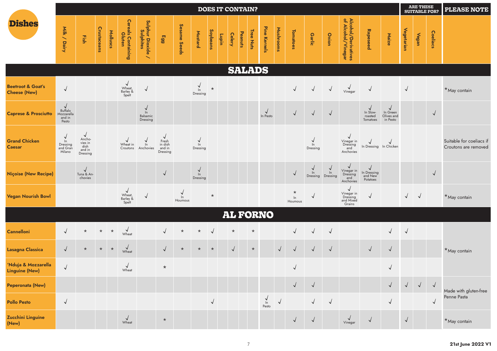|                                                     |                                                         |                                                               |             |          |                                             |                                              |                                                        |                       |                             |                 |       | <b>DOES IT CONTAIN?</b> |         |           |                        |            |                              |                     |                |                                                             |                                                    |                                              |            | <b>ARE THESE</b><br><b>SUITABLE FOR?</b> |              | <b>PLEASE NOTE</b>                               |
|-----------------------------------------------------|---------------------------------------------------------|---------------------------------------------------------------|-------------|----------|---------------------------------------------|----------------------------------------------|--------------------------------------------------------|-----------------------|-----------------------------|-----------------|-------|-------------------------|---------|-----------|------------------------|------------|------------------------------|---------------------|----------------|-------------------------------------------------------------|----------------------------------------------------|----------------------------------------------|------------|------------------------------------------|--------------|--------------------------------------------------|
| <b>Dishes</b>                                       | Milk / Dairy                                            | Fish                                                          | Crustaceans | Molluscs | Cereals Containing<br>Gluten                | Sulphur Dioxide<br>Sulphites<br>$\checkmark$ | 66 <sub>3</sub>                                        | Sesame Seeds          | Mustard                     | <b>Soybeans</b> | Lupin | <b>Celery</b>           | Peanuts | Tree Nuts | Pine Kernels           | Mushrooms  | <b>Tomatoes</b>              | Garlic              | Onion          | Alcohol/Derivatives<br>of Alcohol/Vinegar                   | Rapeseed                                           | Maize                                        | Vegetarian | Vegan                                    | Coeliacs     |                                                  |
|                                                     |                                                         |                                                               |             |          |                                             |                                              |                                                        |                       |                             |                 |       | <b>SALADS</b>           |         |           |                        |            |                              |                     |                |                                                             |                                                    |                                              |            |                                          |              |                                                  |
| <b>Beetroot &amp; Goat's</b><br><b>Cheese (New)</b> | $\checkmark$                                            |                                                               |             |          | $\checkmark$<br>Wheat,<br>Barley &<br>Spelt | $\sqrt{ }$                                   |                                                        |                       | $\frac{1}{2}$<br>Dressing   | $\star$         |       |                         |         |           |                        |            | $\sqrt{2}$                   | $\sqrt{ }$          | $\sqrt{}$      | $\sqrt{\frac{1}{2}}$                                        | $\sqrt{ }$                                         |                                              | $\sqrt{2}$ |                                          |              | *May contain                                     |
| <b>Caprese &amp; Prosciutto</b>                     | Buffalo<br>Mozzarella<br>and in<br>Pesto                |                                                               |             |          |                                             | $\vee$<br>$\ln$<br>Balsamic<br>Dressing      |                                                        |                       |                             |                 |       |                         |         |           | $\sqrt{ }$<br>In Pesto |            | $\sqrt{}$                    | $\sqrt{ }$          | $\sqrt{2}$     |                                                             | In Slow-<br>roasted<br>Tomatoes                    | $\vee$<br>In Green<br>Olives and<br>in Pesto |            |                                          | $\sqrt{ }$   |                                                  |
| <b>Grand Chicken</b><br><b>Caesar</b>               | $\checkmark$<br>$\ln$<br>Dressing<br>and Gran<br>Milano | $\sqrt{ }$<br>Ancho-<br>vies in<br>dish<br>and in<br>Dressing |             |          | Wheat in<br>Croutons                        | $\ln$<br>Anchovies                           | $\checkmark$<br>Fresh<br>in dish<br>and in<br>Dressing |                       | $\vee$<br>$\ln$<br>Dressing |                 |       |                         |         |           |                        |            |                              | √<br>ln<br>Dressing |                | $\checkmark$<br>Vinegar in<br>Dressing<br>and<br>Anchovies  | $\sqrt{ }$<br>In Dressing In Chicken               | $\overline{ }$                               |            |                                          |              | Suitable for coeliacs if<br>Croutons are removed |
| <b>Niçoise (New Recipe)</b>                         |                                                         | $\sqrt{\frac{1}{2}}$ Tuna & An-<br>chovies                    |             |          |                                             |                                              | √                                                      |                       | $\frac{1}{2}$<br>Dressing   |                 |       |                         |         |           |                        |            | $\sqrt{2}$                   | ln<br>Dressing      | ln<br>Dressing | $\checkmark$<br>Vinegar in<br>Dressing<br>and<br>Anchovies  | $\checkmark$<br>In Dressing<br>and New<br>Potatoes |                                              |            |                                          | $\sqrt{ }$   |                                                  |
| <b>Vegan Nourish Bowl</b>                           |                                                         |                                                               |             |          | √<br>Wheat,<br>Barley &<br>Spelt            | $\checkmark$                                 |                                                        | √<br>$\ln$<br>Houmous |                             | $\star$         |       |                         |         |           |                        |            | $^\star$<br>$\ln$<br>Houmous | √                   |                | $\sqrt{ }$<br>Vinegar in<br>Dressing<br>and Mixed<br>Grains | $\sqrt{ }$                                         |                                              | $\sqrt{ }$ | $\sqrt{ }$                               |              | *May contain                                     |
|                                                     |                                                         |                                                               |             |          |                                             |                                              |                                                        |                       |                             |                 |       |                         |         |           | <b>AL FORNO</b>        |            |                              |                     |                |                                                             |                                                    |                                              |            |                                          |              |                                                  |
| Cannelloni                                          |                                                         | $\star$                                                       | $\star$     | $\star$  | $\sqrt{\frac{1}{2}}$                        |                                              | √                                                      | $\star$               | $\star$                     | $\overline{v}$  |       | $\star$                 |         | $\star$   |                        |            | $\sqrt{}$                    |                     | $\checkmark$   |                                                             |                                                    | $\sqrt{ }$                                   | $\sqrt{ }$ |                                          |              |                                                  |
| Lasagna Classica                                    | $\sqrt{}$                                               | $\star$                                                       | $\star$     | $\star$  | $\sqrt{\frac{1}{2}}$                        |                                              | $\sqrt{ }$                                             | $\star$               | $\star$                     | $\star$         |       | $\sqrt{}$               |         | $\star$   |                        | $\sqrt{ }$ | $\sqrt{}$                    | $\sqrt{ }$          | $\sqrt{ }$     |                                                             | $\sqrt{ }$                                         | $\sqrt{ }$                                   |            |                                          |              | *May contain                                     |
| 'Nduja & Mozzarella<br><b>Linguine (New)</b>        | $\sqrt{ }$                                              |                                                               |             |          | $\sqrt{ }$<br>Wheat                         |                                              | $\star$                                                |                       |                             |                 |       |                         |         |           |                        |            | $\sqrt{ }$                   |                     |                |                                                             |                                                    | $\sqrt{ }$                                   |            |                                          |              |                                                  |
| Peperonata (New)                                    |                                                         |                                                               |             |          |                                             |                                              |                                                        |                       |                             |                 |       |                         |         |           |                        |            | $\sqrt{ }$                   | $\sqrt{ }$          |                |                                                             |                                                    | $\sqrt{ }$                                   | $\sqrt{ }$ | $\sqrt{ }$                               | $\sqrt{ }$   | Made with gluten-free                            |
| <b>Pollo Pesto</b>                                  | $\sqrt{2}$                                              |                                                               |             |          |                                             |                                              |                                                        |                       |                             | $\sqrt{}$       |       |                         |         |           | $\frac{1}{2}$<br>Pesto | $\sqrt{ }$ |                              | $\sqrt{ }$          | $\sqrt{ }$     |                                                             |                                                    | $\checkmark$                                 |            |                                          | $\checkmark$ | Penne Pasta                                      |
| Zucchini Linguine<br>(New)                          |                                                         |                                                               |             |          | $\sqrt{\frac{1}{2}}$                        |                                              | $\star$                                                |                       |                             |                 |       |                         |         |           |                        |            | $\sqrt{ }$                   | $\sqrt{ }$          |                | $\sqrt{\frac{1}{2}}$                                        | $\sqrt{ }$                                         |                                              | $\sqrt{ }$ |                                          |              | $*$ May contain                                  |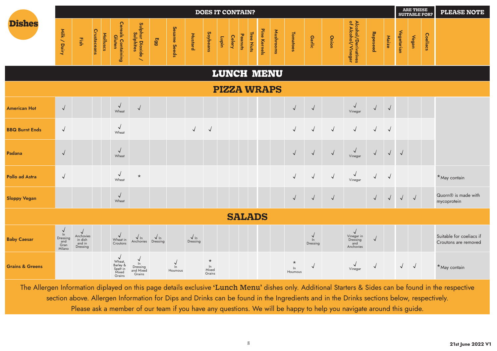|                            |                                                       |                                            |             |          |                                                                 |                                                            |                          |                         |                          |                                     |       |               | <b>DOES IT CONTAIN?</b> |              |           |                             |                                   |            |                                                          |              |            |             | <b>ARE THESE</b><br><b>SUITABLE FOR?</b> |                 | <b>PLEASE NOTE</b>                               |
|----------------------------|-------------------------------------------------------|--------------------------------------------|-------------|----------|-----------------------------------------------------------------|------------------------------------------------------------|--------------------------|-------------------------|--------------------------|-------------------------------------|-------|---------------|-------------------------|--------------|-----------|-----------------------------|-----------------------------------|------------|----------------------------------------------------------|--------------|------------|-------------|------------------------------------------|-----------------|--------------------------------------------------|
| <b>Dishes</b>              | Milk / Dairy                                          | Fish                                       | Crustaceans | Molluscs | <b>Cereals Containing<br/>Gluten</b>                            | Sulphur Dioxide ,<br>Sulphites<br>$\overline{\phantom{0}}$ | Egg                      | Sesame Seeds            | <b>Mustard</b>           | Soybeans                            | Lupin | <b>Celery</b> | Tree Nuts<br>Peanuts    | Pine Kernels | Mushrooms | <b>Tomatoes</b>             | <b>Garlic</b>                     | Onion      | Alcohol/Derivatives<br>of Alcohol/Vinegar                | Rapeseed     | Maize      | Vegetarian  | Vegan                                    | <b>Coeliacs</b> |                                                  |
|                            |                                                       |                                            |             |          |                                                                 |                                                            |                          |                         |                          |                                     |       |               | LUNCH MENU              |              |           |                             |                                   |            |                                                          |              |            |             |                                          |                 |                                                  |
|                            |                                                       |                                            |             |          |                                                                 |                                                            |                          |                         |                          |                                     |       |               | <b>PIZZA WRAPS</b>      |              |           |                             |                                   |            |                                                          |              |            |             |                                          |                 |                                                  |
| <b>American Hot</b>        | $\sqrt{ }$                                            |                                            |             |          | $\sqrt{ }$<br>Wheat                                             | $\sqrt{ }$                                                 |                          |                         |                          |                                     |       |               |                         |              |           | $\sqrt{ }$                  | $\sqrt{ }$                        |            | $\sqrt{ }$<br>Vinegar                                    | $\sqrt{}$    | $\sqrt{ }$ |             |                                          |                 |                                                  |
| <b>BBQ Burnt Ends</b>      | $\sqrt{ }$                                            |                                            |             |          | $\sqrt{ }$<br>Wheat                                             |                                                            |                          |                         | $\sqrt{2}$               | $\sqrt{2}$                          |       |               |                         |              |           | $\checkmark$                | $\sqrt{ }$                        | $\sqrt{2}$ | $\sqrt{ }$                                               | $\sqrt{ }$   | $\sqrt{ }$ |             |                                          |                 |                                                  |
| Padana                     | $\sqrt{2}$                                            |                                            |             |          | $\sqrt{ }$<br>Wheat                                             |                                                            |                          |                         |                          |                                     |       |               |                         |              |           | $\sqrt{2}$                  | $\sqrt{ }$                        | $\sqrt{ }$ | $\sqrt{ }$<br>Vinegar                                    | $\sqrt{2}$   | $\sqrt{2}$ | $\sqrt{ }$  |                                          |                 |                                                  |
| <b>Pollo ad Astra</b>      | $\sqrt{ }$                                            |                                            |             |          | $\sqrt{ }$<br>Wheat                                             | $\star$                                                    |                          |                         |                          |                                     |       |               |                         |              |           | $\sqrt{ }$                  | $\sqrt{ }$                        | $\sqrt{ }$ | $\sqrt{ }$<br>Vinegar                                    | $\sqrt{ }$   | $\sqrt{ }$ |             |                                          |                 | *May contain                                     |
| <b>Sloppy Vegan</b>        |                                                       |                                            |             |          | $\sqrt{ }$<br>Wheat                                             |                                                            |                          |                         |                          |                                     |       |               |                         |              |           | $\sqrt{2}$                  | $\sqrt{2}$                        | $\sqrt{ }$ |                                                          | $\checkmark$ | $\sqrt{}$  | $\sqrt{-1}$ | $\sqrt{ }$                               |                 | Quorn <sup>®</sup> is made with<br>mycoprotein   |
|                            |                                                       |                                            |             |          |                                                                 |                                                            |                          |                         |                          |                                     |       |               | <b>SALADS</b>           |              |           |                             |                                   |            |                                                          |              |            |             |                                          |                 |                                                  |
| <b>Baby Caesar</b>         | $\sqrt{ }$<br>ln<br>Dressing<br>and<br>Gran<br>Milano | Anchovies<br>in dish<br>and in<br>Dressing |             |          | $\sqrt{ }$<br>Wheat in<br>Croutons                              | $\sqrt{\ln}$<br>Anchovies                                  | $\sqrt{\ln}$<br>Dressing |                         | $\sqrt{\ln}$<br>Dressing |                                     |       |               |                         |              |           |                             | $\checkmark$<br>$\ln$<br>Dressing |            | $\sqrt{ }$<br>Vinegar in<br>Dressing<br>and<br>Anchovies | $\checkmark$ |            |             |                                          |                 | Suitable for coeliacs if<br>Croutons are removed |
| <b>Grains &amp; Greens</b> |                                                       |                                            |             |          | $\sqrt{ }$<br>Wheat,<br>Barley &<br>Spelf in<br>Mixed<br>Grains | $\checkmark$<br>$\ln$<br>Dressing<br>and Mixed<br>Grains   |                          | $\vee$<br>ln<br>Houmous |                          | $\star$<br>$\ln$<br>Mixed<br>Grains |       |               |                         |              |           | $\star$<br>$\ln$<br>Houmous | $\sqrt{2}$                        |            | $\sqrt{ }$<br>Vinegar                                    | $\sqrt{2}$   |            | $\sqrt{ }$  | $\sqrt{ }$                               |                 | *May contain                                     |

The Allergen Information diplayed on this page details exclusive 'Lunch Menu' dishes only. Additional Starters & Sides can be found in the respective section above. Allergen Information for Dips and Drinks can be found in the Ingredients and in the Drinks sections below, respectively. Please ask a member of our team if you have any questions. We will be happy to help you navigate around this guide.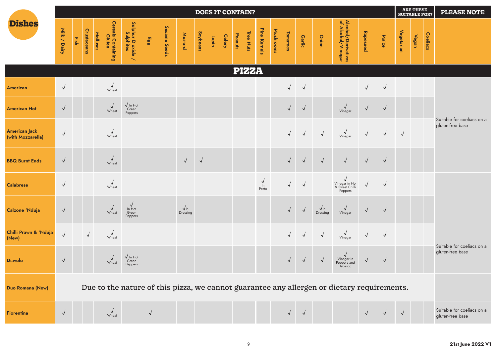|                                           |              |      |                    |          |                                      |                                                            |            |              |                         |            | <b>DOES IT CONTAIN?</b> |               |         |              |                          |           |                 |               |                         |                                                                                            |              |            |            | <b>ARE THESE</b><br><b>SUITABLE FOR?</b> |          | <b>PLEASE NOTE</b>                             |
|-------------------------------------------|--------------|------|--------------------|----------|--------------------------------------|------------------------------------------------------------|------------|--------------|-------------------------|------------|-------------------------|---------------|---------|--------------|--------------------------|-----------|-----------------|---------------|-------------------------|--------------------------------------------------------------------------------------------|--------------|------------|------------|------------------------------------------|----------|------------------------------------------------|
| <b>Dishes</b>                             | Milk / Dairy | Fish | <b>Crustaceans</b> | Molluscs | <b>Cereals Containing<br/>Gluten</b> | Sulphur Dioxide ,<br>Sulphites<br>$\overline{\phantom{0}}$ | Egg        | Sesame Seeds | Mustard                 | Soybeans   | Lupin                   | <b>Celery</b> | Peanuts | Tree Nuts    | Pine Kernels             | Mushrooms | <b>Tomatoes</b> | <b>Garlic</b> | Onion                   | Alcohol/Derivatives<br>of Alcohol/Vinegar                                                  | Rapeseed     | Maize      | Vegetarian | Vegan                                    | Coeliacs |                                                |
|                                           |              |      |                    |          |                                      |                                                            |            |              |                         |            |                         |               |         | <b>PIZZA</b> |                          |           |                 |               |                         |                                                                                            |              |            |            |                                          |          |                                                |
| <b>American</b>                           | $\sqrt{ }$   |      |                    |          | $\sqrt{\frac{1}{2}}$                 |                                                            |            |              |                         |            |                         |               |         |              |                          |           | $\checkmark$    | $\checkmark$  |                         |                                                                                            | $\checkmark$ | $\sqrt{ }$ |            |                                          |          |                                                |
| <b>American Hot</b>                       | $\sqrt{ }$   |      |                    |          | $\sqrt{ }$<br>Wheat                  | $\sqrt{\ln$ Hot<br>Green<br>Peppers                        |            |              |                         |            |                         |               |         |              |                          |           | $\sqrt{ }$      | $\sqrt{ }$    |                         | $\sqrt{\frac{1}{2}}$                                                                       | $\vee$       | $\sqrt{2}$ |            |                                          |          |                                                |
| <b>American Jack</b><br>(with Mozzarella) | $\sqrt{ }$   |      |                    |          | $\sqrt{ }$<br>Wheat                  |                                                            |            |              |                         |            |                         |               |         |              |                          |           | $\sqrt{ }$      | $\checkmark$  | $\sqrt{ }$              | $\sqrt{\frac{1}{2}}$                                                                       | $\sqrt{ }$   | $\sqrt{ }$ | $\sqrt{ }$ |                                          |          | Suitable for coeliacs on a<br>gluten-free base |
| <b>BBQ Burnt Ends</b>                     | $\sqrt{ }$   |      |                    |          | $\sqrt{ }$<br>Wheat                  |                                                            |            |              | $\sqrt{ }$              | $\sqrt{2}$ |                         |               |         |              |                          |           | $\sqrt{ }$      | $\sqrt{ }$    | $\sqrt{ }$              | $\sqrt{ }$                                                                                 | $\sqrt{ }$   | $\sqrt{2}$ |            |                                          |          |                                                |
| <b>Calabrese</b>                          | $\sqrt{ }$   |      |                    |          | $\sqrt{\frac{1}{2}}$                 |                                                            |            |              |                         |            |                         |               |         |              | $\frac{1}{\pi}$<br>Pesto |           | $\checkmark$    | $\checkmark$  |                         | √<br>Vinegar in Hot<br>& Sweet Chilli<br>Peppers                                           | $\vee$       | $\sqrt{ }$ |            |                                          |          |                                                |
| Calzone 'Nduja                            | $\sqrt{ }$   |      |                    |          | $\sqrt{ }$<br>Wheat                  | $\sqrt{ }$<br>In Hot<br>Green<br>Peppers                   |            |              | $\sqrt{ln}$<br>Dressing |            |                         |               |         |              |                          |           | $\sqrt{2}$      | $\sqrt{ }$    | $\sqrt{ln}$<br>Dressing | $\checkmark$<br>Vinegar                                                                    | $\sqrt{ }$   | $\sqrt{ }$ |            |                                          |          |                                                |
| Chilli Prawn & 'Nduja<br>(New)            | $\sqrt{}$    |      | $\sqrt{2}$         |          | $\sqrt{\frac{1}{2}}$                 |                                                            |            |              |                         |            |                         |               |         |              |                          |           | $\sqrt{ }$      | $\sqrt{ }$    | $\sqrt{ }$              | $\sqrt{\frac{1}{2}}$                                                                       | $\sqrt{2}$   | $\sqrt{2}$ |            |                                          |          |                                                |
| <b>Diavolo</b>                            | $\sqrt{ }$   |      |                    |          | $\checkmark$<br>Wheat                | $\sqrt{\ln$ Hot<br>Green<br>Peppers                        |            |              |                         |            |                         |               |         |              |                          |           | $\sqrt{ }$      | $\sqrt{ }$    |                         | √<br>Vinegar in<br>Peppers and<br>Tabasco                                                  | $\checkmark$ | $\sqrt{2}$ |            |                                          |          | Suitable for coeliacs on a<br>gluten-free base |
| Duo Romana (New)                          |              |      |                    |          |                                      |                                                            |            |              |                         |            |                         |               |         |              |                          |           |                 |               |                         | Due to the nature of this pizza, we cannot guarantee any allergen or dietary requirements. |              |            |            |                                          |          |                                                |
| <b>Fiorentina</b>                         | $\sqrt{ }$   |      |                    |          | $\sqrt{\frac{1}{2}}$                 |                                                            | $\sqrt{2}$ |              |                         |            |                         |               |         |              |                          |           |                 | $\sqrt{ }$    |                         |                                                                                            |              |            | $\sqrt{2}$ |                                          |          | Suitable for coeliacs on a<br>gluten-free base |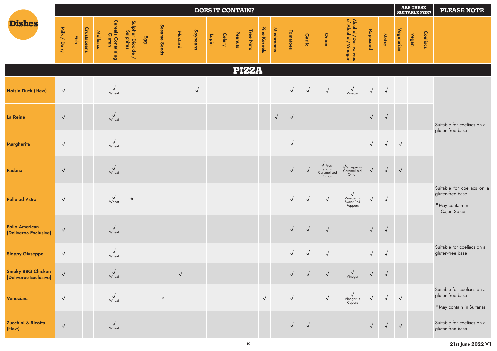|                                                |              |      |                    |          |                              |                                                            |     |              |              |            | <b>DOES IT CONTAIN?</b> |               |         |              |              |            |                 |              |                                                                                                      |                                                    |              |              |            | ARE THESE<br>SUITABLE FOR? |                 | <b>PLEASE NOTE</b>                                                                  |
|------------------------------------------------|--------------|------|--------------------|----------|------------------------------|------------------------------------------------------------|-----|--------------|--------------|------------|-------------------------|---------------|---------|--------------|--------------|------------|-----------------|--------------|------------------------------------------------------------------------------------------------------|----------------------------------------------------|--------------|--------------|------------|----------------------------|-----------------|-------------------------------------------------------------------------------------|
| <b>Dishes</b>                                  | Milk / Dairy | Fish | <b>Crustaceans</b> | Molluscs | Cereals Containing<br>Gluten | Sulphur Dioxide ,<br>Sulphites<br>$\overline{\phantom{0}}$ | E99 | Sesame Seeds | Mustard      | Soybeans   | Lupin                   | <b>Celery</b> | Peanuts | Tree Nuts    | Pine Kernels | Mushrooms  | <b>Tomatoes</b> | Garlic       | Onion                                                                                                | Alcohol/Derivatives<br>of Alcohol/Vinegar          | Rapeseed     | Maize        | Vegetarian | Vegan                      | <b>Coeliacs</b> |                                                                                     |
|                                                |              |      |                    |          |                              |                                                            |     |              |              |            |                         |               |         | <b>PIZZA</b> |              |            |                 |              |                                                                                                      |                                                    |              |              |            |                            |                 |                                                                                     |
| <b>Hoisin Duck (New)</b>                       | $\sqrt{ }$   |      |                    |          | $\sqrt{\frac{1}{2}}$         |                                                            |     |              |              | $\sqrt{ }$ |                         |               |         |              |              |            |                 | $\sqrt{}$    | $\sqrt{ }$                                                                                           | $\sqrt{\frac{1}{2}}$                               | $\sqrt{ }$   | $\sqrt{ }$   |            |                            |                 |                                                                                     |
| <b>La Reine</b>                                | $\sqrt{ }$   |      |                    |          | $\sqrt{\frac{1}{2}}$         |                                                            |     |              |              |            |                         |               |         |              |              | $\sqrt{ }$ | $\sqrt{ }$      |              |                                                                                                      |                                                    | $\sqrt{ }$   | $\sqrt{2}$   |            |                            |                 | Suitable for coeliacs on a                                                          |
| Margherita                                     | $\sqrt{ }$   |      |                    |          | $\sqrt{\frac{1}{2}}$         |                                                            |     |              |              |            |                         |               |         |              |              |            | $\checkmark$    |              |                                                                                                      |                                                    | $\sqrt{ }$   | $\sqrt{ }$   | $\sqrt{ }$ |                            |                 | gluten-free base                                                                    |
| Padana                                         | $\sqrt{ }$   |      |                    |          | $\sqrt{\frac{1}{2}}$         |                                                            |     |              |              |            |                         |               |         |              |              |            | $\sqrt{}$       | $\sqrt{}$    | $\begin{array}{c}\n\sqrt{\text{Fresh}} \\ \text{and in} \\ \text{Caramelised}\n\end{array}$<br>Onion | $\sqrt{\frac{1}{2}}$ Vinegar in<br>Onion           | $\sqrt{ }$   | $\sqrt{ }$   | $\sqrt{}$  |                            |                 |                                                                                     |
| <b>Pollo ad Astra</b>                          | $\sqrt{ }$   |      |                    |          | $\sqrt{\frac{1}{2}}$         | $\star$                                                    |     |              |              |            |                         |               |         |              |              |            | $\sqrt{}$       | $\sqrt{ }$   | $\sqrt{ }$                                                                                           | $\checkmark$<br>Vinegar in<br>Sweet Red<br>Peppers | $\checkmark$ | $\sqrt{ }$   |            |                            |                 | Suitable for coeliacs on a<br>gluten-free base<br>$*$ May contain in<br>Cajun Spice |
| <b>Pollo American</b><br>[Deliveroo Exclusive] | $\vee$       |      |                    |          | $\sqrt{\frac{1}{2}}$         |                                                            |     |              |              |            |                         |               |         |              |              |            | $\sqrt{}$       | $\sqrt{ }$   | $\sqrt{ }$                                                                                           |                                                    | $\sqrt{2}$   | $\sqrt{2}$   |            |                            |                 |                                                                                     |
| <b>Sloppy Giuseppe</b>                         | $\sqrt{ }$   |      |                    |          | $\sqrt{\frac{1}{2}}$         |                                                            |     |              |              |            |                         |               |         |              |              |            | $\sqrt{}$       | $\checkmark$ | $\sqrt{2}$                                                                                           |                                                    | $\sqrt{2}$   | $\sqrt{2}$   |            |                            |                 | Suitable for coeliacs on a<br>gluten-free base                                      |
| Smoky BBQ Chicken<br>[Deliveroo Exclusive]     | $\vee$       |      |                    |          | $\vee$<br>Wheat              |                                                            |     |              | $\checkmark$ |            |                         |               |         |              |              |            |                 | $\sqrt{ }$   | $\sqrt{ }$                                                                                           | Vinegar                                            |              | $\sqrt{ }$   |            |                            |                 |                                                                                     |
| Veneziana                                      | $\sqrt{2}$   |      |                    |          | $\sqrt{ }$<br>Wheat          |                                                            |     | $\star$      |              |            |                         |               |         |              | $\sqrt{2}$   |            | $\checkmark$    |              | $\sqrt{2}$                                                                                           | N<br>Vinegar in<br>Capers                          |              | $\checkmark$ | $\sqrt{ }$ |                            |                 | Suitable for coeliacs on a<br>gluten-free base<br>*May contain in Sultanas          |
| Zucchini & Ricotta<br>(New)                    | $\sqrt{ }$   |      |                    |          | $\sqrt{ }$<br>Wheat          |                                                            |     |              |              |            |                         |               |         |              |              |            | $\sqrt{ }$      | $\sqrt{ }$   |                                                                                                      |                                                    | $\sqrt{ }$   | $\sqrt{ }$   | $\sqrt{ }$ |                            |                 | Suitable for coeliacs on a<br>gluten-free base                                      |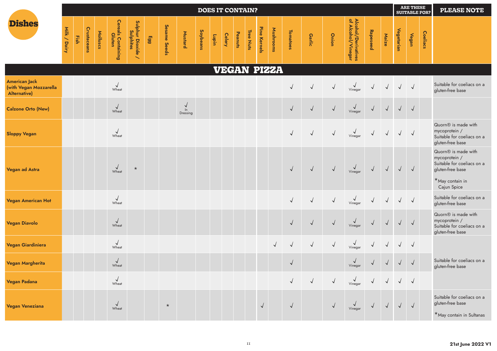|                                                                |              |      |                    |          |                              |                                                          |     |              |                          |          |       |               | <b>DOES IT CONTAIN?</b> |           |              |                    |                 |               |            |                                           |            |            |                                                                                            | <b>ARE THESE</b><br><b>SUITABLE FOR?</b> |          | <b>PLEASE NOTE</b>                                                                                                                   |
|----------------------------------------------------------------|--------------|------|--------------------|----------|------------------------------|----------------------------------------------------------|-----|--------------|--------------------------|----------|-------|---------------|-------------------------|-----------|--------------|--------------------|-----------------|---------------|------------|-------------------------------------------|------------|------------|--------------------------------------------------------------------------------------------|------------------------------------------|----------|--------------------------------------------------------------------------------------------------------------------------------------|
| <b>Dishes</b>                                                  | Milk / Dairy | Fish | <b>Crustaceans</b> | Molluscs | Cereals Containing<br>Gluten | Sulphur Dioxide<br>Sulphites<br>$\overline{\phantom{0}}$ | 663 | Sesame Seeds | Mustard                  | Soybeans | Lupin | <b>Celery</b> | Peanuts                 | Tree Nuts | Pine Kernels | <b>Mushrooms</b>   | <b>Tomatoes</b> | <b>Garlic</b> | Onion      | Alcohol/Derivatives<br>of Alcohol/Vinegar | Rapeseed   | Maize      | Vegetarian                                                                                 | Vegan                                    | Coeliacs |                                                                                                                                      |
|                                                                |              |      |                    |          |                              |                                                          |     |              |                          |          |       |               |                         |           |              | <b>VEGAN PIZZA</b> |                 |               |            |                                           |            |            |                                                                                            |                                          |          |                                                                                                                                      |
| <b>American Jack</b><br>(with Vegan Mozzarella<br>Alternative) |              |      |                    |          | $\sqrt{\frac{1}{2}}$         |                                                          |     |              |                          |          |       |               |                         |           |              |                    | $\checkmark$    | $\sqrt{ }$    | $\sqrt{2}$ | $\sqrt{\frac{1}{2}}$                      |            | $\sqrt{ }$ | $\sqrt{ }$                                                                                 | $\sqrt{ }$                               |          | Suitable for coeliacs on a<br>gluten-free base                                                                                       |
| <b>Calzone Orto (New)</b>                                      |              |      |                    |          | $\checkmark$<br>Wheat        |                                                          |     |              | $\vee$<br>ln<br>Dressing |          |       |               |                         |           |              |                    | $\sqrt{}$       | $\sqrt{ }$    | $\sqrt{ }$ | $\sqrt{\frac{2}{\frac{3}{2}}\frac{1}{2}}$ | $\sqrt{ }$ | $\sqrt{ }$ |                                                                                            | $\sqrt{ }$                               |          |                                                                                                                                      |
| <b>Sloppy Vegan</b>                                            |              |      |                    |          | $\sqrt{ }$<br>Wheat          |                                                          |     |              |                          |          |       |               |                         |           |              |                    | $\sqrt{}$       | $\sqrt{ }$    | $\sqrt{2}$ | $\sqrt{\frac{1}{2}}$                      | $\sqrt{ }$ | $\sqrt{ }$ | $\sqrt{ }$                                                                                 | $\sqrt{ }$                               |          | Quorn <sup>®</sup> is made with<br>mycoprotein /<br>Suitable for coeliacs on a<br>gluten-free base                                   |
| Vegan ad Astra                                                 |              |      |                    |          | $\sqrt{ }$<br>Wheat          | $\star$                                                  |     |              |                          |          |       |               |                         |           |              |                    | $\sqrt{}$       | $\sqrt{ }$    | $\sqrt{ }$ | $\sqrt{\frac{2}{\frac{3}{2}}\frac{1}{2}}$ | $\sqrt{ }$ | $\sqrt{ }$ | $\sqrt{}$                                                                                  | $\sqrt{ }$                               |          | Quorn <sup>®</sup> is made with<br>mycoprotein /<br>Suitable for coeliacs on a<br>gluten-free base<br>*May contain in<br>Cajun Spice |
| <b>Vegan American Hot</b>                                      |              |      |                    |          | $\sqrt{ }$<br>Wheat          |                                                          |     |              |                          |          |       |               |                         |           |              |                    | $\checkmark$    | $\sqrt{ }$    | $\sqrt{ }$ | $\sqrt{\frac{1}{2}}$                      |            | $\sqrt{ }$ | $\sqrt{ }$                                                                                 | $\sqrt{ }$                               |          | Suitable for coeliacs on a<br>gluten-free base                                                                                       |
| <b>Vegan Diavolo</b>                                           |              |      |                    |          | $\sqrt{ }$<br>Wheat          |                                                          |     |              |                          |          |       |               |                         |           |              |                    | $\sqrt{}$       | $\sqrt{2}$    | $\sqrt{ }$ | $\sqrt{\frac{1}{2}}$                      | $\sqrt{ }$ | $\sqrt{ }$ | $\sqrt{ }$                                                                                 | $\sqrt{ }$                               |          | Quorn <sup>®</sup> is made with<br>mycoprotein /<br>Suitable for coeliacs on a<br>gluten-free base                                   |
| Vegan Giardiniera                                              |              |      |                    |          | $\sqrt{ }$<br>Wheat          |                                                          |     |              |                          |          |       |               |                         |           |              | $\sqrt{}$          | $\sqrt{}$       | $\sqrt{ }$    | $\sqrt{ }$ | $\sqrt{ }$<br>Vinegar                     |            | $\sqrt{ }$ | $\sqrt{ }$                                                                                 | $\sqrt{ }$                               |          |                                                                                                                                      |
| <b>Vegan Margherita</b>                                        |              |      |                    |          | $\sqrt{2}$<br>Wheat          |                                                          |     |              |                          |          |       |               |                         |           |              |                    | $\sqrt{}$       |               |            | $\checkmark$<br>Vinegar                   |            | $\sqrt{ }$ | $\sqrt{ }$                                                                                 | $\sqrt{ }$                               |          | Suitable for coeliacs on a<br>gluten-free base                                                                                       |
| <b>Vegan Padana</b>                                            |              |      |                    |          | $\sqrt{ }$<br>Wheat          |                                                          |     |              |                          |          |       |               |                         |           |              |                    |                 |               |            |                                           |            |            |                                                                                            |                                          |          |                                                                                                                                      |
| <b>Vegan Veneziana</b>                                         |              |      |                    |          | $\sqrt{ }$<br>Wheat          |                                                          |     | $\star$      |                          |          |       |               |                         |           | $\sqrt{ }$   |                    | $\checkmark$    |               | $\sqrt{2}$ | $\bigvee$<br>Vinegar                      | $\sqrt{}$  |            | $\begin{array}{c c c c c} \sqrt{1} & \sqrt{1} & \sqrt{1} & \sqrt{1} \\ \hline \end{array}$ |                                          |          | Suitable for coeliacs on a<br>gluten-free base<br>*May contain in Sultanas                                                           |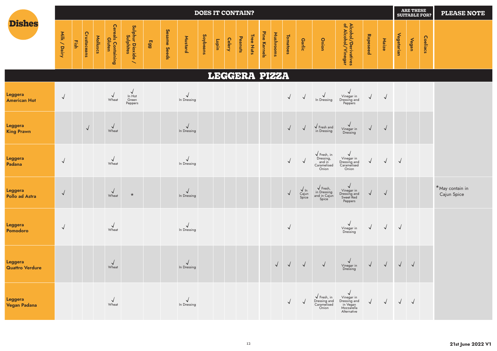|                                          |              |      |                    |          |                                      |                                          |     |              |                             | <b>DOES IT CONTAIN?</b> |       |               |         |               |              |            |                 |                                                                                |                                                                                                                         |                                                                          |            |            |                   | <b>ARE THESE</b><br><b>SUITABLE FOR?</b> |          | <b>PLEASE NOTE</b>             |
|------------------------------------------|--------------|------|--------------------|----------|--------------------------------------|------------------------------------------|-----|--------------|-----------------------------|-------------------------|-------|---------------|---------|---------------|--------------|------------|-----------------|--------------------------------------------------------------------------------|-------------------------------------------------------------------------------------------------------------------------|--------------------------------------------------------------------------|------------|------------|-------------------|------------------------------------------|----------|--------------------------------|
| <b>Dishes</b>                            | Milk / Dairy | Fish | <b>Crustaceans</b> | Molluscs | <b>Cereals Containing<br/>Gluten</b> | Sulphur Dioxide /<br>Sulphur Dioxide /   | Egg | Sesame Seeds | Mustard                     | Soybeans                | Lupin | <b>Celery</b> | Peanuts | Tree Nuts     | Pine Kernels | Mushrooms  | <b>Tomatoes</b> | Garlic                                                                         | Onion                                                                                                                   | Alcohol/Derivatives<br>of Alcohol/Vinegar                                | Rapeseed   | Maize      | <b>Vegetarian</b> | Vegan                                    | Coeliacs |                                |
|                                          |              |      |                    |          |                                      |                                          |     |              |                             |                         |       |               |         | LEGGERA PIZZA |              |            |                 |                                                                                |                                                                                                                         |                                                                          |            |            |                   |                                          |          |                                |
| Leggera<br><b>American Hot</b>           | $\sqrt{ }$   |      |                    |          | $\sqrt{ }$<br>Wheat                  | $\sqrt{ }$<br>In Hot<br>Green<br>Peppers |     |              | $\sqrt{ }$<br>In Dressing   |                         |       |               |         |               |              |            | $\sqrt{ }$      | $\sqrt{}$                                                                      | $\sqrt{ }$<br>In Dressing                                                                                               | $\checkmark$<br>Vinegar in<br>Dressing and<br>Peppers                    | $\sqrt{ }$ | $\sqrt{ }$ |                   |                                          |          |                                |
| Leggera<br><b>King Prawn</b>             |              |      | $\sqrt{2}$         |          | $\sqrt{\frac{1}{2}}$                 |                                          |     |              | $\sqrt{}$<br>In Dressing    |                         |       |               |         |               |              |            | $\sqrt{ }$      | $\sqrt{}$                                                                      | $\sqrt{\frac{5}{1}}$ Fresh and<br>in Dressing                                                                           | $\checkmark$<br>Vinegar in<br>Dressing                                   | $\sqrt{ }$ | $\sqrt{ }$ |                   |                                          |          |                                |
| Leggera<br>Padana                        | $\sqrt{ }$   |      |                    |          | $\sqrt{\frac{1}{2}}$                 |                                          |     |              | $\sqrt{ }$<br>In Dressing   |                         |       |               |         |               |              |            | $\sqrt{2}$      | $\checkmark$                                                                   | $\sqrt{\frac{5}{2}}$ Fresh, in<br>Dressing,<br>and in<br>Caramelised<br>Onion                                           | $\checkmark$<br>Vinegar in<br>Dressing and<br>Caramelised<br>Onion       | $\sqrt{}$  | $\sqrt{ }$ | $\sqrt{ }$        |                                          |          |                                |
| Leggera<br>Pollo ad Astra                | $\sqrt{ }$   |      |                    |          | $\sqrt{\frac{1}{2}}$                 | $\star$                                  |     |              | $\sqrt{ }$<br>In Dressing   |                         |       |               |         |               |              |            | $\sqrt{ }$      | $\begin{array}{c}\bigvee_{\text{In}}\\ \text{Cajun}\\ \text{Spice}\end{array}$ | $\begin{array}{c}\n\bigvee \text{Fresh,} \\ \text{in Dressing} \\ \text{and in Cajun} \\ \text{Spice}\n\end{array}$     | Vinegar in<br>Dressing and<br>Sweet Red<br>Peppers                       | $\sqrt{2}$ | $\sqrt{2}$ |                   |                                          |          | *May contain in<br>Cajun Spice |
| Leggera<br>Pomodoro                      | $\sqrt{ }$   |      |                    |          | $\sqrt{\frac{1}{2}}$                 |                                          |     |              | $\checkmark$<br>In Dressing |                         |       |               |         |               |              |            | $\sqrt{ }$      |                                                                                |                                                                                                                         | $\checkmark$<br>Vinegar in<br>Dressing                                   | $\sqrt{ }$ | $\sqrt{ }$ | $\sqrt{ }$        |                                          |          |                                |
| <b>Leggera</b><br><b>Quattro Verdure</b> |              |      |                    |          | $\sqrt{\frac{1}{2}}$                 |                                          |     |              | $\sqrt{ }$<br>In Dressing   |                         |       |               |         |               |              | $\sqrt{2}$ | $\sqrt{ }$      | $\sqrt{ }$                                                                     | $\sqrt{ }$                                                                                                              | √<br>Vinegar in<br>Dressing                                              | $\sqrt{2}$ | $\sqrt{}$  |                   | $\sqrt{ }$                               |          |                                |
| Leggera<br>Vegan Padana                  |              |      |                    |          | $\sqrt{ }$<br>Wheat                  |                                          |     |              | $\checkmark$<br>In Dressing |                         |       |               |         |               |              |            |                 |                                                                                | $\begin{array}{c}\n\bigvee\n\text{Fresh, in} \\ \text{Dressing and} \\ \text{Caramelised} \\ \text{Onion}\n\end{array}$ | √<br>Vinegar in<br>Dressing and<br>in Vegan<br>Mozzarella<br>Alternative | $\sqrt{ }$ | $\sqrt{ }$ | $\sqrt{2}$        |                                          |          |                                |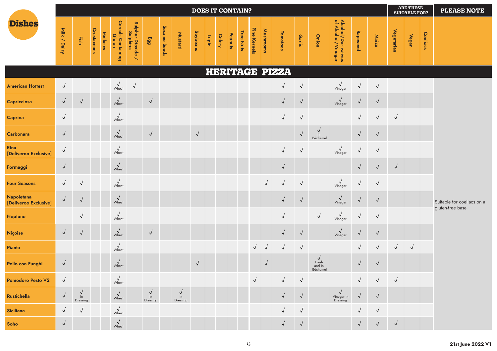|                                      |              |                |             |          |                              |                                                            |                 |              |                        | <b>DOES IT CONTAIN?</b> |       |               |         |           |              |            |                |            |                                             |                                           |              |            |            | <b>ARE THESE</b><br><b>SUITABLE FOR?</b> |          | <b>PLEASE NOTE</b>                             |
|--------------------------------------|--------------|----------------|-------------|----------|------------------------------|------------------------------------------------------------|-----------------|--------------|------------------------|-------------------------|-------|---------------|---------|-----------|--------------|------------|----------------|------------|---------------------------------------------|-------------------------------------------|--------------|------------|------------|------------------------------------------|----------|------------------------------------------------|
| <b>Dishes</b>                        | Milk / Dairy | Fish           | Crustaceans | Molluscs | Cereals Containing<br>Gluten | Sulphur Dioxide ,<br>Sulphites<br>$\overline{\phantom{0}}$ | 66 <sub>3</sub> | Sesame Seeds | Mustard                | Soybeans                | Lupin | <b>Celery</b> | Peanuts | Tree Nuts | Pine Kernels | Mushrooms  | Tomatoes       | Garlic     | Onion                                       | Alcohol/Derivatives<br>of Alcohol/Vinegar | Rapeseed     | Maize      | Vegetarian | Vegan                                    | Coeliacs |                                                |
|                                      |              |                |             |          |                              |                                                            |                 |              |                        |                         |       |               |         |           |              |            | HERITAGE PIZZA |            |                                             |                                           |              |            |            |                                          |          |                                                |
| <b>American Hottest</b>              | $\sqrt{ }$   |                |             |          | $\sqrt{\frac{1}{2}}$         | $\sqrt{2}$                                                 |                 |              |                        |                         |       |               |         |           |              |            | $\checkmark$   | $\sqrt{ }$ |                                             | $\sqrt{\frac{1}{2}}$                      | $\sqrt{ }$   | $\sqrt{2}$ |            |                                          |          |                                                |
| Capricciosa                          | $\checkmark$ | $\sqrt{ }$     |             |          | $\sqrt{\frac{1}{2}}$         |                                                            | $\sqrt{2}$      |              |                        |                         |       |               |         |           |              |            | $\checkmark$   | $\sqrt{ }$ |                                             | $\sqrt{\frac{1}{2}}$                      |              | $\sqrt{ }$ |            |                                          |          |                                                |
| <b>Caprina</b>                       | $\sqrt{ }$   |                |             |          | $\sqrt{ }$<br>Wheat          |                                                            |                 |              |                        |                         |       |               |         |           |              |            | $\sqrt{ }$     | $\sqrt{ }$ |                                             |                                           | $\sqrt{ }$   | $\sqrt{ }$ | $\sqrt{2}$ |                                          |          |                                                |
| Carbonara                            | $\sqrt{ }$   |                |             |          | $\sqrt{\frac{1}{2}}$         |                                                            | $\sqrt{2}$      |              |                        | $\sqrt{ }$              |       |               |         |           |              |            |                | $\sqrt{ }$ | $\frac{1}{2}$<br>Béchamel                   |                                           | $\sqrt{ }$   | $\sqrt{ }$ |            |                                          |          |                                                |
| <b>Etna</b><br>[Deliveroo Exclusive] | $\sqrt{}$    |                |             |          | $\sqrt{\frac{1}{2}}$         |                                                            |                 |              |                        |                         |       |               |         |           |              |            | $\sqrt{}$      | $\sqrt{ }$ |                                             | $\sqrt{\frac{2}{\text{Vinegar}}}$         | $\checkmark$ | $\sqrt{2}$ |            |                                          |          |                                                |
| Formaggi                             | $\sqrt{ }$   |                |             |          | $\sqrt{\frac{1}{2}}$         |                                                            |                 |              |                        |                         |       |               |         |           |              |            | $\sqrt{ }$     |            |                                             |                                           | $\sqrt{ }$   | $\sqrt{ }$ | $\sqrt{ }$ |                                          |          |                                                |
| <b>Four Seasons</b>                  | $\sqrt{ }$   | $\sqrt{ }$     |             |          | $\sqrt{\frac{1}{2}}$         |                                                            |                 |              |                        |                         |       |               |         |           |              | $\sqrt{ }$ | $\checkmark$   | $\sqrt{ }$ |                                             | $\sqrt{\frac{1}{2}}$                      | $\sqrt{}$    | $\sqrt{2}$ |            |                                          |          |                                                |
| Napoletana<br>[Deliveroo Exclusive]  | $\checkmark$ | $\sqrt{ }$     |             |          | $\sqrt{\frac{1}{2}}$         |                                                            |                 |              |                        |                         |       |               |         |           |              |            | $\sqrt{}$      | $\sqrt{ }$ |                                             | $\sqrt{\frac{1}{2}}$                      | $\checkmark$ | $\sqrt{ }$ |            |                                          |          | Suitable for coeliacs on a<br>gluten-free base |
| Neptune                              |              | $\sqrt{2}$     |             |          | $\sqrt{ }$<br>Wheat          |                                                            |                 |              |                        |                         |       |               |         |           |              |            | $\checkmark$   |            | $\sqrt{ }$                                  | $\checkmark$<br>Vinegar                   | $\sqrt{ }$   | $\sqrt{ }$ |            |                                          |          |                                                |
| Niçoise                              | $\sqrt{ }$   | $\sqrt{ }$     |             |          | $\sqrt{\frac{1}{2}}$         |                                                            | $\sqrt{ }$      |              |                        |                         |       |               |         |           |              |            | $\checkmark$   | $\sqrt{ }$ |                                             | $\sqrt{\frac{2}{\frac{3}{2}}\frac{1}{2}}$ | $\checkmark$ | $\sqrt{ }$ |            |                                          |          |                                                |
| Pianta                               |              |                |             |          | $\sqrt{\frac{1}{2}}$         |                                                            |                 |              |                        |                         |       |               |         |           | $\sqrt{2}$   | $\vee$     | $\sqrt{2}$     | $\sqrt{ }$ |                                             |                                           | $\sqrt{ }$   | $\sqrt{ }$ | $\sqrt{ }$ | $\sqrt{ }$                               |          |                                                |
| Pollo con Funghi                     | $\sqrt{ }$   |                |             |          | $\sqrt{\frac{1}{2}}$         |                                                            |                 |              |                        | $\sqrt{2}$              |       |               |         |           |              | $\sqrt{2}$ |                |            | $\checkmark$<br>Fresh<br>and in<br>Béchamel |                                           | $\sqrt{ }$   | $\sqrt{ }$ |            |                                          |          |                                                |
| <b>Pomodoro Pesto V2</b>             | $\sqrt{ }$   |                |             |          | $\sqrt{\frac{1}{2}}$         |                                                            |                 |              |                        |                         |       |               |         |           | $\sqrt{}$    |            | $\sqrt{2}$     | $\sqrt{ }$ |                                             |                                           | $\sqrt{ }$   | $\sqrt{ }$ | $\sqrt{ }$ |                                          |          |                                                |
| Rustichella                          | $\sqrt{ }$   | In<br>Dressing |             |          | $\sqrt{ }$<br>Wheat          |                                                            | ln<br>Dressing  |              | √<br>$\ln$<br>Dressing |                         |       |               |         |           |              |            |                | $\sqrt{ }$ |                                             | Vinegar in<br>Dressing                    |              |            |            |                                          |          |                                                |
| <b>Siciliana</b>                     | $\checkmark$ | $\sqrt{ }$     |             |          | $\sqrt{ }$<br>Wheat          |                                                            |                 |              |                        |                         |       |               |         |           |              |            |                | $\sqrt{ }$ |                                             |                                           | $\checkmark$ | $\sqrt{ }$ |            |                                          |          |                                                |
| Soho                                 | $\sqrt{ }$   |                |             |          | $\sqrt{\frac{1}{2}}$         |                                                            |                 |              |                        |                         |       |               |         |           |              |            |                | $\sqrt{ }$ |                                             |                                           | $\sqrt{ }$   | $\sqrt{ }$ | $\sqrt{ }$ |                                          |          |                                                |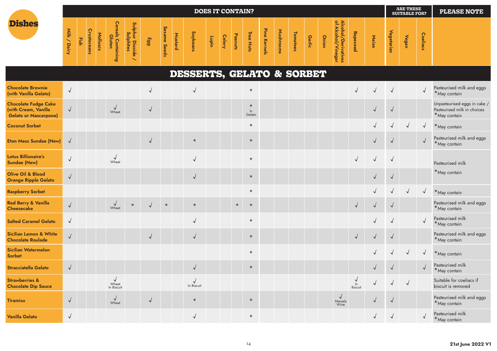|                                                                                     |              |      |             |          |                                     |                                |            |              |         |                           | <b>DOES IT CONTAIN?</b> |               |         |                         |              |           |          |               |       |                                           |                          |              |            | <b>ARE THESE</b><br><b>SUITABLE FOR?</b> |            | <b>PLEASE NOTE</b>                                                          |
|-------------------------------------------------------------------------------------|--------------|------|-------------|----------|-------------------------------------|--------------------------------|------------|--------------|---------|---------------------------|-------------------------|---------------|---------|-------------------------|--------------|-----------|----------|---------------|-------|-------------------------------------------|--------------------------|--------------|------------|------------------------------------------|------------|-----------------------------------------------------------------------------|
| <b>Dishes</b>                                                                       | Milk / Dairy | Fish | Crustaceans | Molluscs | <b>Cereals Containing</b><br>Gluten | Sulphur Dioxide ,<br>Sulphites | Egg        | Sesame Seeds | Mustard | Soybeans                  | uiding                  | <b>Celery</b> | Peanuts | Tree Nuts               | Pine Kernels | Mushrooms | Tomatoes | <b>Garlic</b> | Onion | Alcohol/Derivatives<br>of Alcohol/Vinegar | Rapeseed                 | Maize        | Vegetarian | Vegan                                    | Coeliacs   |                                                                             |
|                                                                                     |              |      |             |          |                                     |                                |            |              |         | DESSERTS, GELATO & SORBET |                         |               |         |                         |              |           |          |               |       |                                           |                          |              |            |                                          |            |                                                                             |
| <b>Chocolate Brownie</b><br>(with Vanilla Gelato)                                   | $\sqrt{ }$   |      |             |          |                                     |                                | √          |              |         | $\sqrt{}$                 |                         |               |         | $\star$                 |              |           |          |               |       |                                           | $\sqrt{}$                |              | $\sqrt{2}$ |                                          | $\sqrt{}$  | Pasteurised milk and eggs<br>*May contain                                   |
| <b>Chocolate Fudge Cake</b><br>(with Cream, Vanilla<br><b>Gelato or Mascarpone)</b> | $\sqrt{ }$   |      |             |          | $\sqrt{\frac{1}{2}}$                |                                | $\sqrt{ }$ |              |         |                           |                         |               |         | $\star$<br>ln<br>Gelato |              |           |          |               |       |                                           |                          | $\checkmark$ | $\sqrt{ }$ |                                          |            | Unpasteurised eggs in cake /<br>Pasteurised milk in choices<br>*May contain |
| <b>Coconut Sorbet</b>                                                               |              |      |             |          |                                     |                                |            |              |         |                           |                         |               |         | $\star$                 |              |           |          |               |       |                                           |                          |              | $\sqrt{}$  | $\sqrt{ }$                               | $\sqrt{ }$ | *May contain                                                                |
| <b>Eton Mess Sundae (New)</b>                                                       | $\sqrt{ }$   |      |             |          |                                     |                                | $\sqrt{2}$ |              |         | $\star$                   |                         |               |         | $\star$                 |              |           |          |               |       |                                           |                          | $\checkmark$ | $\sqrt{2}$ |                                          | $\sqrt{}$  | Pasteurised milk and eggs<br>*May contain                                   |
| <b>Lotus Billionaire's</b><br><b>Sundae (New)</b>                                   | $\sqrt{ }$   |      |             |          | $\sqrt{\frac{1}{2}}$                |                                |            |              |         | $\sqrt{2}$                |                         |               |         | $\star$                 |              |           |          |               |       |                                           | $\sqrt{2}$               | $\sqrt{2}$   | $\sqrt{2}$ |                                          |            | Pasteurised milk                                                            |
| <b>Olive Oil &amp; Blood</b><br><b>Orange Ripple Gelato</b>                         | $\sqrt{ }$   |      |             |          |                                     |                                |            |              |         | $\checkmark$              |                         |               |         | $\star$                 |              |           |          |               |       |                                           |                          | $\sqrt{}$    | $\sqrt{ }$ |                                          |            | *May contain                                                                |
| <b>Raspberry Sorbet</b>                                                             |              |      |             |          |                                     |                                |            |              |         |                           |                         |               |         | $\star$                 |              |           |          |               |       |                                           |                          |              | $\sqrt{}$  | $\sqrt{ }$                               | $\sqrt{2}$ | *May contain                                                                |
| <b>Red Berry &amp; Vanilla</b><br><b>Cheesecake</b>                                 | $\sqrt{}$    |      |             |          | $\sqrt{\frac{1}{2}}$                | $\star$                        | $\sqrt{ }$ | $\star$      |         | $\star$                   |                         |               | $\star$ | $\star$                 |              |           |          |               |       |                                           | $\sqrt{2}$               | $\sqrt{}$    | $\sqrt{ }$ |                                          |            | Pasteurised milk and eggs<br>*May contain                                   |
| <b>Salted Caramel Gelato</b>                                                        | $\sqrt{ }$   |      |             |          |                                     |                                |            |              |         | $\sqrt{2}$                |                         |               |         | $\star$                 |              |           |          |               |       |                                           |                          |              | $\sqrt{ }$ |                                          |            | Pasteurised milk<br>*May contain                                            |
| <b>Sicilian Lemon &amp; White</b><br><b>Chocolate Roulade</b>                       | $\sqrt{}$    |      |             |          |                                     |                                | $\sqrt{ }$ |              |         | $\sqrt{ }$                |                         |               |         | $\star$                 |              |           |          |               |       |                                           | $\sqrt{2}$               | $\checkmark$ | $\sqrt{ }$ |                                          |            | Pasteurised milk and eggs<br>*May contain                                   |
| <b>Sicilian Watermelon</b><br><b>Sorbet</b>                                         |              |      |             |          |                                     |                                |            |              |         |                           |                         |               |         | $\star$                 |              |           |          |               |       |                                           |                          |              |            | $\sqrt{ }$                               | $\sqrt{ }$ | *May contain                                                                |
| <b>Stracciatella Gelato</b>                                                         | $\sqrt{}$    |      |             |          |                                     |                                |            |              |         | $\sqrt{ }$                |                         |               |         | $\star$                 |              |           |          |               |       |                                           |                          | $\checkmark$ | $\sqrt{ }$ |                                          | $\sqrt{ }$ | Pasteurised milk<br>$*$ May contain                                         |
| <b>Strawberries &amp;</b><br><b>Chocolate Dip Sauce</b>                             |              |      |             |          | $\sqrt{ }$<br>Wheat<br>In Biscuit   |                                |            |              |         | $\sqrt{ }$<br>In Biscuit  |                         |               |         |                         |              |           |          |               |       |                                           | $\frac{1}{2}$<br>Biscuit | $\sqrt{}$    | $\sqrt{2}$ | $\sqrt{2}$                               |            | Suitable for coeliacs if<br>biscuit is removed                              |
| <b>Tiramisu</b>                                                                     | $\sqrt{ }$   |      |             |          | $\sqrt{ }$<br>Wheat                 |                                | $\sqrt{ }$ |              |         | $\star$                   |                         |               |         | $\star$                 |              |           |          |               |       | $\sqrt{ }$<br>Marsala<br>Wine             |                          | √            | $\sqrt{ }$ |                                          |            | Pasteurised milk and eggs<br>*May contain                                   |
| <b>Vanilla Gelato</b>                                                               | $\sqrt{ }$   |      |             |          |                                     |                                |            |              |         | $\sqrt{ }$                |                         |               |         | $\star$                 |              |           |          |               |       |                                           |                          | $\checkmark$ | $\sqrt{ }$ |                                          | $\sqrt{ }$ | Pasteurised milk<br>*May contain                                            |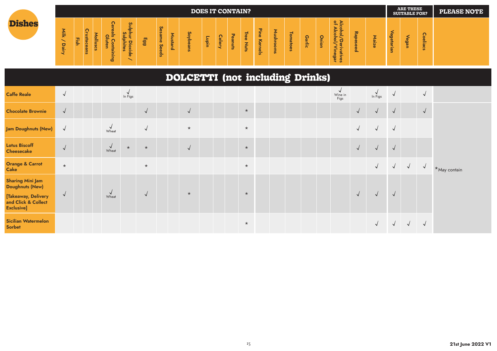|               |                                                              |        |                   |   |                                                                     |                                                                                                                                                                     |           |                         |          |                                | <b>DOES IT CONTAIN?</b> |                               |                                           |                                              |                                                    |                                       |                                               |                    |     |                                                                                                    |                                              |   |                                      | <b>ARE THESE</b><br><b>SUITABLE FOR?</b> |                                                | <b>PLEASE NOTE</b> |
|---------------|--------------------------------------------------------------|--------|-------------------|---|---------------------------------------------------------------------|---------------------------------------------------------------------------------------------------------------------------------------------------------------------|-----------|-------------------------|----------|--------------------------------|-------------------------|-------------------------------|-------------------------------------------|----------------------------------------------|----------------------------------------------------|---------------------------------------|-----------------------------------------------|--------------------|-----|----------------------------------------------------------------------------------------------------|----------------------------------------------|---|--------------------------------------|------------------------------------------|------------------------------------------------|--------------------|
| <b>Dishes</b> | 흦<br>p<br>$\overline{\mathbf{v}}$<br>$- \cdot$<br>$\tilde{}$ | -<br>≕ | $\mathbf{Q}$<br>- | ≐ | _<br>_<br>$\overline{\phantom{0}}$<br>-<br>$\sigma$<br>-<br>-<br>۵ō | $\boldsymbol{\omega}$<br>►<br>-<br>ທີ່<br>-<br>$\blacksquare$<br>- 53<br>$\overline{\phantom{0}}$<br>ठ<br>-<br>-<br>-<br>$-1$<br>u<br>$\sim$<br>$\sim$<br>$-1$<br>⋍ | <b>GG</b> | ဖ<br>$\sigma$<br>ഗ<br>읎 | $\Omega$ | S°<br>-<br>-<br>$\overline{a}$ | ≈<br>ㅎ<br>-             | $\mathbf{D}$<br>$\sigma$<br>- | $\mathbf \sigma$<br>흑<br>-<br>-<br>-<br>∍ | _<br>Φ<br>Φ<br>-<br><b>A</b><br>-<br>≒<br>ui | -<br>$-$<br>ᄎ<br>$\mathbf{D}$<br>-<br>$\mathbf{u}$ | -<br>$\overline{10}$<br>∼<br>$\omega$ | $\overline{\circ}$<br>э<br>٠<br>ന<br>$\omega$ | $\omega$<br>-<br>≕ | $-$ | $\circ$<br>ъ<br>$\rightarrow$<br>_<br><u>_</u><br>-<br>_<br>≗<br>-<br>-<br>-<br>-<br>Φ<br>--<br>읙. | $\overline{z}$<br><b>de</b><br>Φ<br>$\Omega$ | - | Œ<br>$\mathbf c$<br>œ<br>٠<br>-<br>B | $\Omega$                                 | $\circ$<br>ന<br>≕<br>$\mathbf{u}$<br><b>cs</b> |                    |

**DOLCETTI (not including Drinks)**

| <b>Caffe Reale</b>                                                                                            | $\sqrt{ }$ |  |                      | In Figs |            |            |  |         |  |  | Wine in<br>Figs |            | $\frac{V}{\ln \text{Figs}}$ | $\sqrt{ }$   |            | $\sqrt{ }$ |              |
|---------------------------------------------------------------------------------------------------------------|------------|--|----------------------|---------|------------|------------|--|---------|--|--|-----------------|------------|-----------------------------|--------------|------------|------------|--------------|
| <b>Chocolate Brownie</b>                                                                                      | $\sqrt{ }$ |  |                      |         | $\sqrt{ }$ | $\sqrt{2}$ |  | $\star$ |  |  |                 | $\sqrt{ }$ | $\sqrt{ }$                  | $\sqrt{ }$   |            | $\sqrt{ }$ |              |
| Jam Doughnuts (New)                                                                                           | $\sqrt{ }$ |  | $\sqrt{\frac{1}{2}}$ |         | $\sqrt{ }$ | $\star$    |  | $\star$ |  |  |                 | $\sqrt{ }$ | $\sqrt{ }$                  | $\sqrt{ }$   |            |            |              |
| <b>Lotus Biscoff</b><br><b>Cheesecake</b>                                                                     | $\sqrt{ }$ |  | $\sqrt{\frac{1}{2}}$ | $\star$ | $\star$    | $\sqrt{ }$ |  | $\star$ |  |  |                 | $\sqrt{ }$ | $\sqrt{ }$                  | $\sqrt{ }$   |            |            |              |
| <b>Orange &amp; Carrot</b><br><b>Cake</b>                                                                     | $\star$    |  |                      |         | $\star$    |            |  | $\star$ |  |  |                 |            | $\sqrt{ }$                  | $\sqrt{ }$   | $\sqrt{ }$ | $\sqrt{ }$ | *May contain |
| <b>Sharing Mini Jam</b><br><b>Doughnuts (New)</b><br>[Takeaway, Delivery<br>and Click & Collect<br>Exclusive] | $\sqrt{ }$ |  | $\vee$<br>Wheat      |         | $\sqrt{ }$ | $\star$    |  | $\star$ |  |  |                 |            | $\sqrt{ }$                  | $\sqrt{ }$   |            |            |              |
| <b>Sicilian Watermelon</b><br>Sorbet                                                                          |            |  |                      |         |            |            |  | $\star$ |  |  |                 |            | $\sqrt{ }$                  | $\checkmark$ | $\sqrt{ }$ | $\sqrt{ }$ |              |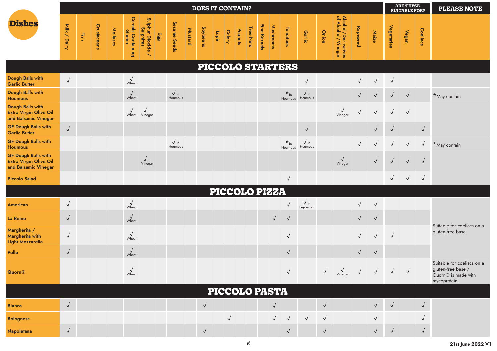|                                                                                     |              |      |             |          |                                     |                                                                 |     |                        |         | <b>DOES IT CONTAIN?</b> |       |               |         |           |              |                      |                         |                           |            |                                           |            |            |            | <b>ARE THESE</b><br><b>SUITABLE FOR?</b> |              | <b>PLEASE NOTE</b>                                                                                 |
|-------------------------------------------------------------------------------------|--------------|------|-------------|----------|-------------------------------------|-----------------------------------------------------------------|-----|------------------------|---------|-------------------------|-------|---------------|---------|-----------|--------------|----------------------|-------------------------|---------------------------|------------|-------------------------------------------|------------|------------|------------|------------------------------------------|--------------|----------------------------------------------------------------------------------------------------|
| <b>Dishes</b>                                                                       | Milk / Dairy | Fish | Crustaceans | Molluscs | <b>Cereals Containing</b><br>Gluten | Sulphur Dioxide<br><b>Sulphites</b><br>$\overline{\phantom{0}}$ | Egg | Sesame Seeds           | Mustard | Soybeans                | uidin | <b>Celery</b> | Peanuts | Tree Nuts | Pine Kernels | Mushrooms            | Tomatoes                | Garlic                    | Onion      | Alcohol/Derivatives<br>of Alcohol/Vinegar | Rapeseed   | Maize      | Vegetarian | Vegan                                    | Coeliacs     |                                                                                                    |
|                                                                                     |              |      |             |          |                                     |                                                                 |     |                        |         |                         |       |               |         |           |              |                      | <b>PICCOLO STARTERS</b> |                           |            |                                           |            |            |            |                                          |              |                                                                                                    |
| Dough Balls with<br><b>Garlic Butter</b>                                            | $\sqrt{ }$   |      |             |          | $\sqrt{ }$<br>Wheat                 |                                                                 |     |                        |         |                         |       |               |         |           |              |                      |                         | $\sqrt{}$                 |            |                                           | $\sqrt{ }$ | $\sqrt{ }$ | $\sqrt{ }$ |                                          |              |                                                                                                    |
| Dough Balls with<br><b>Houmous</b>                                                  |              |      |             |          | $\sqrt{ }$<br>Wheat                 |                                                                 |     | $\sqrt{ln}$<br>Houmous |         |                         |       |               |         |           |              |                      | $*_{\ln}$<br>Houmous    | $\sqrt{ \ln}$<br>Houmous  |            |                                           | $\sqrt{ }$ | $\sqrt{ }$ | $\sqrt{ }$ | $\sqrt{ }$                               |              | *May contain                                                                                       |
| Dough Balls with<br><b>Extra Virgin Olive Oil</b><br>and Balsamic Vinegar           |              |      |             |          | $\sqrt{ }$<br>Wheat                 | $\sqrt{ \ln}$<br>Vinegar                                        |     |                        |         |                         |       |               |         |           |              |                      |                         |                           |            | $\checkmark$<br>Vinegar                   | $\sqrt{}$  | $\sqrt{ }$ | $\sqrt{ }$ | $\sqrt{ }$                               |              |                                                                                                    |
| <b>GF Dough Balls with</b><br><b>Garlic Butter</b>                                  | $\sqrt{}$    |      |             |          |                                     |                                                                 |     |                        |         |                         |       |               |         |           |              |                      |                         | $\sqrt{ }$                |            |                                           |            | $\sqrt{ }$ | $\sqrt{2}$ |                                          | $\sqrt{2}$   |                                                                                                    |
| <b>GF Dough Balls with</b><br><b>Houmous</b>                                        |              |      |             |          |                                     |                                                                 |     | $\sqrt{ln}$<br>Houmous |         |                         |       |               |         |           |              |                      | $*_{\ln}$<br>Houmous    | $\sqrt{\ln}$<br>Houmous   |            |                                           | $\sqrt{ }$ | $\sqrt{ }$ | $\sqrt{ }$ | $\sqrt{ }$                               | $\sqrt{ }$   | $*$ May contain                                                                                    |
| <b>GF Dough Balls with</b><br><b>Extra Virgin Olive Oil</b><br>and Balsamic Vinegar |              |      |             |          |                                     | $\sqrt{\ln}$<br>Vinegar                                         |     |                        |         |                         |       |               |         |           |              |                      |                         |                           |            | $\checkmark$<br>Vinegar                   |            | $\sqrt{}$  | $\sqrt{ }$ | $\sqrt{ }$                               | $\sqrt{ }$   |                                                                                                    |
| <b>Piccolo Salad</b>                                                                |              |      |             |          |                                     |                                                                 |     |                        |         |                         |       |               |         |           |              |                      | $\sqrt{ }$              |                           |            |                                           |            |            | $\sqrt{}$  | $\sqrt{ }$                               | $\sqrt{ }$   |                                                                                                    |
|                                                                                     |              |      |             |          |                                     |                                                                 |     |                        |         |                         |       |               |         |           |              | PICCOLO PIZZA        |                         |                           |            |                                           |            |            |            |                                          |              |                                                                                                    |
| <b>American</b>                                                                     | $\sqrt{ }$   |      |             |          | $\sqrt{ }$<br>Wheat                 |                                                                 |     |                        |         |                         |       |               |         |           |              |                      | $\sqrt{ }$              | $\sqrt{\ln}$<br>Pepperoni |            |                                           | $\sqrt{ }$ | $\sqrt{ }$ |            |                                          |              |                                                                                                    |
| <b>La Reine</b>                                                                     | $\sqrt{ }$   |      |             |          | $\sqrt{\frac{1}{2}}$                |                                                                 |     |                        |         |                         |       |               |         |           |              | $\sqrt{ }$           | $\sqrt{ }$              |                           |            |                                           | $\sqrt{ }$ | $\sqrt{2}$ |            |                                          |              | Suitable for coeliacs on a                                                                         |
| Margherita /<br>Margherita with<br><b>Light Mozzarella</b>                          | $\sqrt{ }$   |      |             |          | $\sqrt{ }$<br>Wheat                 |                                                                 |     |                        |         |                         |       |               |         |           |              |                      | $\sqrt{2}$              |                           |            |                                           | $\sqrt{ }$ | $\sqrt{ }$ | $\sqrt{2}$ |                                          |              | gluten-free base                                                                                   |
| Pollo                                                                               | $\sqrt{ }$   |      |             |          | $\sqrt{ }$<br>Wheat                 |                                                                 |     |                        |         |                         |       |               |         |           |              |                      | $\sqrt{ }$              |                           |            |                                           | $\sqrt{ }$ | $\sqrt{ }$ |            |                                          |              |                                                                                                    |
| <b>Quorn®</b>                                                                       |              |      |             |          | Wheat                               |                                                                 |     |                        |         |                         |       |               |         |           |              |                      | $\sqrt{2}$              |                           | $\sqrt{ }$ | V<br>Vinegar                              | $\sqrt{}$  | $\sqrt{2}$ | $\sqrt{ }$ | $\sqrt{ }$                               |              | Suitable for coeliacs on a<br>gluten-free base /<br>Quorn <sup>®</sup> is made with<br>mycoprotein |
|                                                                                     |              |      |             |          |                                     |                                                                 |     |                        |         |                         |       |               |         |           |              | <b>PICCOLO PASTA</b> |                         |                           |            |                                           |            |            |            |                                          |              |                                                                                                    |
| <b>Bianca</b>                                                                       | $\sqrt{ }$   |      |             |          |                                     |                                                                 |     |                        |         | $\sqrt{ }$              |       |               |         |           |              | $\sqrt{ }$           |                         |                           | $\sqrt{ }$ |                                           |            | $\sqrt{2}$ | $\sqrt{ }$ |                                          | $\sqrt{ }$   |                                                                                                    |
| <b>Bolognese</b>                                                                    |              |      |             |          |                                     |                                                                 |     |                        |         |                         |       | $\checkmark$  |         |           |              | $\sqrt{ }$           | $\sqrt{ }$              | $\sqrt{ }$                | $\sqrt{ }$ |                                           |            | $\sqrt{}$  |            |                                          | $\checkmark$ |                                                                                                    |
| <b>Napoletana</b>                                                                   | $\sqrt{ }$   |      |             |          |                                     |                                                                 |     |                        |         | $\sqrt{ }$              |       |               |         |           |              |                      | $\sqrt{ }$              |                           | $\sqrt{ }$ |                                           |            | $\sqrt{}$  | $\sqrt{ }$ |                                          | $\sqrt{ }$   |                                                                                                    |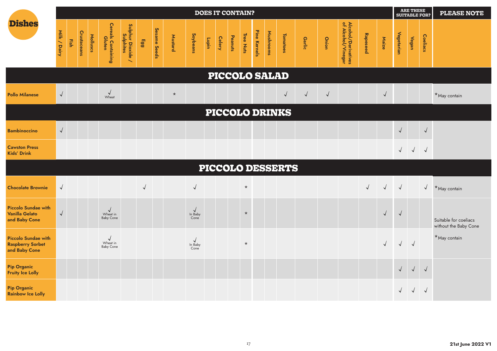|                                                                        |              |      |             |          |                                            |                                        |           |              |         |                                            | <b>DOES IT CONTAIN?</b> |               |         |           |              |           |                         |            |            |                                           |           |            |            | ARE THESE<br><b>SUITABLE FOR?</b> |            | <b>PLEASE NOTE</b>                             |
|------------------------------------------------------------------------|--------------|------|-------------|----------|--------------------------------------------|----------------------------------------|-----------|--------------|---------|--------------------------------------------|-------------------------|---------------|---------|-----------|--------------|-----------|-------------------------|------------|------------|-------------------------------------------|-----------|------------|------------|-----------------------------------|------------|------------------------------------------------|
| <b>Dishes</b>                                                          | Milk / Dairy | Fish | Crustaceans | Molluscs | <b>Cereals Containing<br/>Gluten</b>       | Sulphur Dioxide /<br>Sulphur Dioxide / | Egg       | Sesame Seeds | Mustard | Soybeans                                   | uiding                  | <b>Celery</b> | Peanuts | Tree Nuts | Pine Kernels | Mushrooms | <b>Tomatoes</b>         | Garlic     | Onion      | Alcohol/Derivatives<br>of Alcohol/Vinegar | Rapeseed  | Maize      | Vegetarian | <b>Vegan</b>                      | Coeliacs   |                                                |
|                                                                        |              |      |             |          |                                            |                                        |           |              |         |                                            |                         |               |         |           |              |           | <b>PICCOLO SALAD</b>    |            |            |                                           |           |            |            |                                   |            |                                                |
| <b>Pollo Milanese</b>                                                  | $\sqrt{ }$   |      |             |          | $\sqrt{ }$<br>Wheat                        |                                        |           |              | $\star$ |                                            |                         |               |         |           |              |           | $\sqrt{ }$              | $\sqrt{ }$ | $\sqrt{2}$ |                                           |           | $\sqrt{ }$ |            |                                   |            | *May contain                                   |
|                                                                        |              |      |             |          |                                            |                                        |           |              |         |                                            |                         |               |         |           |              |           | <b>PICCOLO DRINKS</b>   |            |            |                                           |           |            |            |                                   |            |                                                |
| <b>Bambinoccino</b>                                                    | $\sqrt{}$    |      |             |          |                                            |                                        |           |              |         |                                            |                         |               |         |           |              |           |                         |            |            |                                           |           |            | $\sqrt{2}$ |                                   | $\sqrt{2}$ |                                                |
| <b>Cawston Press</b><br><b>Kids' Drink</b>                             |              |      |             |          |                                            |                                        |           |              |         |                                            |                         |               |         |           |              |           |                         |            |            |                                           |           |            | $\sqrt{2}$ | $\sqrt{ }$                        | $\sqrt{ }$ |                                                |
|                                                                        |              |      |             |          |                                            |                                        |           |              |         |                                            |                         |               |         |           |              |           | <b>PICCOLO DESSERTS</b> |            |            |                                           |           |            |            |                                   |            |                                                |
| <b>Chocolate Brownie</b>                                               | $\sqrt{2}$   |      |             |          |                                            |                                        | $\sqrt{}$ |              |         | $\sqrt{ }$                                 |                         |               |         | $\star$   |              |           |                         |            |            |                                           | $\sqrt{}$ | $\sqrt{ }$ | $\sqrt{ }$ |                                   | $\sqrt{2}$ | *May contain                                   |
| <b>Piccolo Sundae with</b><br><b>Vanilla Gelato</b><br>and Baby Cone   | $\sqrt{ }$   |      |             |          | $\sqrt{\frac{1}{2}}$<br><b>Baby Cone</b>   |                                        |           |              |         | $\sqrt{ }$<br>In Baby<br>Cone <sup>'</sup> |                         |               |         | $\star$   |              |           |                         |            |            |                                           |           | $\sqrt{ }$ | $\sqrt{ }$ |                                   |            | Suitable for coeliacs<br>without the Baby Cone |
| <b>Piccolo Sundae with</b><br><b>Raspberry Sorbet</b><br>and Baby Cone |              |      |             |          | $\sqrt{ }$<br>Wheat in<br><b>Baby Cone</b> |                                        |           |              |         | $\sqrt{}$<br>In Baby<br>Cone               |                         |               |         | $\star$   |              |           |                         |            |            |                                           |           | $\sqrt{}$  | $\sqrt{}$  | $\sqrt{ }$                        |            | *May contain                                   |
| <b>Pip Organic</b><br><b>Fruity Ice Lolly</b>                          |              |      |             |          |                                            |                                        |           |              |         |                                            |                         |               |         |           |              |           |                         |            |            |                                           |           |            | $\sqrt{2}$ | $\sqrt{ }$                        | $\sqrt{ }$ |                                                |
| <b>Pip Organic</b><br><b>Rainbow Ice Lolly</b>                         |              |      |             |          |                                            |                                        |           |              |         |                                            |                         |               |         |           |              |           |                         |            |            |                                           |           |            | $\sqrt{2}$ | $\sqrt{2}$                        | $\sqrt{ }$ |                                                |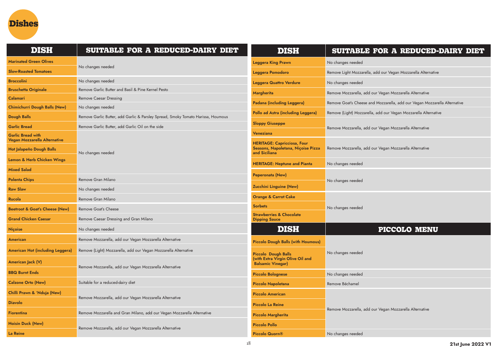

| <b>DISH</b>                                              | SUITABLE FOR A REDUCED-DAIRY DIET                                                | <b>DISH</b>                                                                               | SUITABLE FOR A REDUCED-DAIRY DIET                                         |
|----------------------------------------------------------|----------------------------------------------------------------------------------|-------------------------------------------------------------------------------------------|---------------------------------------------------------------------------|
| <b>Marinated Green Olives</b>                            |                                                                                  | <b>Leggera King Prawn</b>                                                                 | No changes needed                                                         |
| <b>Slow-Roasted Tomatoes</b>                             | No changes needed                                                                | Leggera Pomodoro                                                                          | Remove Light Mozzarella, add our Vegan Mozzarella Alternative             |
| <b>Broccolini</b>                                        | No changes needed                                                                | Leggera Quattro Verdure                                                                   | No changes needed                                                         |
| <b>Bruschetta Originale</b>                              | Remove Garlic Butter and Basil & Pine Kernel Pesto                               | <b>Margherita</b>                                                                         | Remove Mozzarella, add our Vegan Mozzarella Alternative                   |
| <b>Calamari</b>                                          | <b>Remove Caesar Dressing</b>                                                    | Padana (including Leggera)                                                                | Remove Goat's Cheese and Mozzarella, add our Vegan Mozzarella Alternative |
| <b>Chimichurri Dough Balls (New)</b>                     | No changes needed                                                                |                                                                                           |                                                                           |
| <b>Dough Balls</b>                                       | Remove Garlic Butter, add Garlic & Parsley Spread, Smoky Tomato Harissa, Houmous | Pollo ad Astra (including Leggera)                                                        | Remove (Light) Mozzarella, add our Vegan Mozzarella Alternative           |
| <b>Garlic Bread</b>                                      | Remove Garlic Butter, add Garlic Oil on the side                                 | <b>Sloppy Giuseppe</b>                                                                    | Remove Mozzarella, add our Vegan Mozzarella Alternative                   |
| <b>Garlic Bread with</b><br>Vegan Mozzarella Alternative |                                                                                  | Veneziana                                                                                 |                                                                           |
| Hot Jalapeño Dough Balls                                 | No changes needed                                                                | <b>HERITAGE: Capricciosa, Four</b><br>Seasons, Napoletana, Niçoise Pizza<br>and Siciliana | Remove Mozzarella, add our Vegan Mozzarella Alternative                   |
| Lemon & Herb Chicken Wings                               |                                                                                  | <b>HERITAGE: Neptune and Pianta</b>                                                       | No changes needed                                                         |
| <b>Mixed Salad</b>                                       |                                                                                  | Peperonata (New)                                                                          |                                                                           |
| <b>Polenta Chips</b>                                     | Remove Gran Milano                                                               |                                                                                           | No changes needed                                                         |
| <b>Raw Slaw</b>                                          | No changes needed                                                                | <b>Zucchini Linguine (New)</b>                                                            |                                                                           |
| Rucola                                                   | Remove Gran Milano                                                               | <b>Orange &amp; Carrot Cake</b>                                                           |                                                                           |
| <b>Beetroot &amp; Goat's Cheese (New)</b>                | Remove Goat's Cheese                                                             | <b>Sorbets</b>                                                                            | No changes needed                                                         |
| <b>Grand Chicken Caesar</b>                              | Remove Caesar Dressing and Gran Milano                                           | <b>Strawberries &amp; Chocolate</b><br><b>Dipping Sauce</b>                               |                                                                           |
| <b>Niçoise</b>                                           | No changes needed                                                                | <b>DISH</b>                                                                               | PICCOLO MENU                                                              |
| American                                                 | Remove Mozzarella, add our Vegan Mozzarella Alternative                          | <b>Piccolo Dough Balls (with Houmous)</b>                                                 |                                                                           |
| American Hot (including Leggera)                         | Remove (Light) Mozzarella, add our Vegan Mozzarella Alternative                  | Piccolo Dough Balls                                                                       | No changes needed                                                         |
| American Jack (V)                                        | Remove Mozzarella, add our Vegan Mozzarella Alternative                          | (with Extra Virgin Olive Oil and<br><b>Balsamic Vinegar)</b>                              |                                                                           |
| <b>BBQ Burnt Ends</b>                                    |                                                                                  | <b>Piccolo Bolognese</b>                                                                  | No changes needed                                                         |
| <b>Calzone Orto (New)</b>                                | Suitable for a reduced-dairy diet                                                | <b>Piccolo Napoletana</b>                                                                 | Remove Béchamel                                                           |
| Chilli Prawn & 'Nduja (New)                              | Remove Mozzarella, add our Vegan Mozzarella Alternative                          | <b>Piccolo American</b>                                                                   |                                                                           |
| <b>Diavolo</b>                                           |                                                                                  | <b>Piccolo La Reine</b>                                                                   |                                                                           |
| <b>Fiorentina</b>                                        | Remove Mozzarella and Gran Milano, add our Vegan Mozzarella Alternative          | <b>Piccolo Margherita</b>                                                                 | Remove Mozzarella, add our Vegan Mozzarella Alternative                   |
| <b>Hoisin Duck (New)</b>                                 | Remove Mozzarella, add our Vegan Mozzarella Alternative                          | <b>Piccolo Pollo</b>                                                                      |                                                                           |
| La Reine                                                 |                                                                                  | <b>Piccolo Quorn®</b>                                                                     | No changes needed                                                         |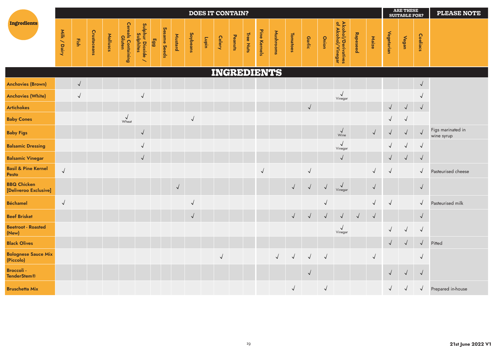|                                             |              |            |             |          |                              |                                                            |     |              |            |            |        | <b>DOES IT CONTAIN?</b> |         |           |              |           |            |               |            |                                           |            |            |              | <b>ARE THESE</b><br><b>SUITABLE FOR?</b> |            | <b>PLEASE NOTE</b>              |
|---------------------------------------------|--------------|------------|-------------|----------|------------------------------|------------------------------------------------------------|-----|--------------|------------|------------|--------|-------------------------|---------|-----------|--------------|-----------|------------|---------------|------------|-------------------------------------------|------------|------------|--------------|------------------------------------------|------------|---------------------------------|
| Ingredients                                 | Milk / Dairy | Fish       | Crustaceans | Molluscs | Cereals Containing<br>Gluten | Sulphur Dioxide ,<br>Sulphites<br>$\overline{\phantom{0}}$ | Egg | Sesame Seeds | Mustard    | Soybeans   | uiding | <b>Celery</b>           | Peanuts | Tree Nuts | Pine Kernels | Mushrooms | Tomatoes   | <b>Garlic</b> | Onion      | Alcohol/Derivatives<br>of Alcohol/Vinegar | Rapeseed   | Maize      | Vegetarian   | Vegan                                    | Coeliacs   |                                 |
|                                             |              |            |             |          |                              |                                                            |     |              |            |            |        | INGREDIENTS             |         |           |              |           |            |               |            |                                           |            |            |              |                                          |            |                                 |
| <b>Anchovies (Brown)</b>                    |              | $\sqrt{2}$ |             |          |                              |                                                            |     |              |            |            |        |                         |         |           |              |           |            |               |            |                                           |            |            |              |                                          | $\sqrt{ }$ |                                 |
| <b>Anchovies (White)</b>                    |              | $\sqrt{2}$ |             |          |                              | $\checkmark$                                               |     |              |            |            |        |                         |         |           |              |           |            |               |            | $\sqrt{ }$<br>Vinegar                     |            |            |              |                                          |            |                                 |
| <b>Artichokes</b>                           |              |            |             |          |                              |                                                            |     |              |            |            |        |                         |         |           |              |           |            | $\sqrt{ }$    |            |                                           |            |            | $\sqrt{ }$   | $\sqrt{ }$                               | $\sqrt{2}$ |                                 |
| <b>Baby Cones</b>                           |              |            |             |          | $\sqrt{\frac{1}{2}}$         |                                                            |     |              |            | $\sqrt{2}$ |        |                         |         |           |              |           |            |               |            |                                           |            |            | $\checkmark$ | $\sqrt{ }$                               |            |                                 |
| <b>Baby Figs</b>                            |              |            |             |          |                              | $\sqrt{ }$                                                 |     |              |            |            |        |                         |         |           |              |           |            |               |            | $\sqrt{ }$<br>Wine                        |            | $\sqrt{ }$ | $\sqrt{}$    | $\sqrt{}$                                | $\sqrt{ }$ | Figs marinated in<br>wine syrup |
| <b>Balsamic Dressing</b>                    |              |            |             |          |                              | $\sqrt{}$                                                  |     |              |            |            |        |                         |         |           |              |           |            |               |            | $\sqrt{2}$<br>Vinegar                     |            |            | $\checkmark$ | $\sqrt{ }$                               | $\sqrt{ }$ |                                 |
| <b>Balsamic Vinegar</b>                     |              |            |             |          |                              | $\sqrt{}$                                                  |     |              |            |            |        |                         |         |           |              |           |            |               |            | $\sqrt{ }$                                |            |            | $\sqrt{ }$   | $\sqrt{ }$                               | $\sqrt{ }$ |                                 |
| <b>Basil &amp; Pine Kernel</b><br>Pesto     | $\sqrt{ }$   |            |             |          |                              |                                                            |     |              |            |            |        |                         |         |           | $\vee$       |           |            | $\sqrt{2}$    |            |                                           |            | $\sqrt{ }$ | $\sqrt{ }$   |                                          | $\sqrt{}$  | Pasteurised cheese              |
| <b>BBQ Chicken</b><br>[Deliveroo Exclusive] |              |            |             |          |                              |                                                            |     |              | $\sqrt{2}$ |            |        |                         |         |           |              |           | $\sqrt{}$  | $\sqrt{}$     | $\sqrt{ }$ | $\checkmark$<br>Vinegar                   |            | $\sqrt{ }$ |              |                                          | $\sqrt{ }$ |                                 |
| <b>Béchamel</b>                             | $\sqrt{2}$   |            |             |          |                              |                                                            |     |              |            | $\sqrt{2}$ |        |                         |         |           |              |           |            |               | $\sqrt{2}$ |                                           |            | $\sqrt{2}$ | $\sqrt{ }$   |                                          | $\sqrt{ }$ | Pasteurised milk                |
| <b>Beef Brisket</b>                         |              |            |             |          |                              |                                                            |     |              |            | $\sqrt{}$  |        |                         |         |           |              |           | $\sqrt{}$  | $\sqrt{2}$    | $\sqrt{}$  | $\sqrt{ }$                                | $\sqrt{ }$ | $\sqrt{ }$ |              |                                          | $\sqrt{ }$ |                                 |
| <b>Beetroot - Roasted</b><br>(New)          |              |            |             |          |                              |                                                            |     |              |            |            |        |                         |         |           |              |           |            |               |            | $\sqrt{}$<br>Vinegar                      |            |            | $\sqrt{ }$   | $\sqrt{}$                                | $\sqrt{ }$ |                                 |
| <b>Black Olives</b>                         |              |            |             |          |                              |                                                            |     |              |            |            |        |                         |         |           |              |           |            |               |            |                                           |            |            | $\sqrt{ }$   | $\sqrt{}$                                | $\sqrt{ }$ | Pitted                          |
| <b>Bolognese Sauce Mix</b><br>(Piccolo)     |              |            |             |          |                              |                                                            |     |              |            |            |        | $\sqrt{2}$              |         |           |              |           | $\sqrt{2}$ | $\sqrt{2}$    | $\sqrt{ }$ |                                           |            |            |              |                                          | $\sqrt{ }$ |                                 |
| <b>Broccoli -</b><br><b>TenderStem®</b>     |              |            |             |          |                              |                                                            |     |              |            |            |        |                         |         |           |              |           |            | $\sqrt{ }$    |            |                                           |            |            | $\sqrt{ }$   | $\sqrt{ }$                               | $\sqrt{ }$ |                                 |
| <b>Bruschetta Mix</b>                       |              |            |             |          |                              |                                                            |     |              |            |            |        |                         |         |           |              |           | $\sqrt{ }$ |               | $\sqrt{ }$ |                                           |            |            | $\sqrt{}$    |                                          | $\sqrt{}$  | Prepared in-house               |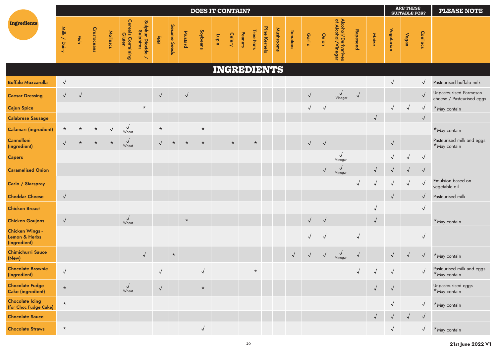|                                                         |              |            |             |            |                                      |                                     |            |              |            | <b>DOES IT CONTAIN?</b> |             |               |         |           |              |           |                 |            |              |                                           |            |              |              | <b>ARE THESE</b><br><b>SUITABLE FOR?</b> |              | <b>PLEASE NOTE</b>                                  |
|---------------------------------------------------------|--------------|------------|-------------|------------|--------------------------------------|-------------------------------------|------------|--------------|------------|-------------------------|-------------|---------------|---------|-----------|--------------|-----------|-----------------|------------|--------------|-------------------------------------------|------------|--------------|--------------|------------------------------------------|--------------|-----------------------------------------------------|
| Ingredients                                             | Milk / Dairy | Fish       | Crustaceans | Molluscs   | <b>Cereals Containing<br/>Gluten</b> | Sulphur Dioxide ,<br>Sulphites<br>╲ | Egg        | Sesame Seeds | Mustard    | Soybeans                | Lupin       | <b>Celery</b> | Peanuts | Tree Nuts | Pine Kernels | Mushrooms | <b>Tomatoes</b> | Garlic     | <b>Onion</b> | Alcohol/Derivatives<br>of Alcohol/Vinegar | Rapeseed   | Maize        | Vegetarian   | Vegan                                    | Coeliacs     |                                                     |
|                                                         |              |            |             |            |                                      |                                     |            |              |            |                         | INGREDIENTS |               |         |           |              |           |                 |            |              |                                           |            |              |              |                                          |              |                                                     |
| <b>Buffalo Mozzarella</b>                               | $\sqrt{ }$   |            |             |            |                                      |                                     |            |              |            |                         |             |               |         |           |              |           |                 |            |              |                                           |            |              | $\sqrt{ }$   |                                          | $\checkmark$ | Pasteurised buffalo milk                            |
| <b>Caesar Dressing</b>                                  | $\sqrt{ }$   | $\sqrt{ }$ |             |            |                                      |                                     | $\sqrt{}$  |              | $\sqrt{ }$ |                         |             |               |         |           |              |           |                 | $\sqrt{ }$ |              | $\sqrt{\frac{1}{2}}$                      | $\sqrt{ }$ |              |              |                                          | $\sqrt{}$    | Unpasteurised Parmesan<br>cheese / Pasteurised eggs |
| <b>Cajun Spice</b>                                      |              |            |             |            |                                      | $\star$                             |            |              |            |                         |             |               |         |           |              |           |                 | $\sqrt{}$  | $\checkmark$ |                                           |            |              | $\sqrt{}$    | $\sqrt{ }$                               | $\sqrt{ }$   | *May contain                                        |
| <b>Calabrese Sausage</b>                                |              |            |             |            |                                      |                                     |            |              |            |                         |             |               |         |           |              |           |                 |            |              |                                           |            |              |              |                                          | $\sqrt{ }$   |                                                     |
| <b>Calamari (ingredient)</b>                            | $\star$      |            | $\star$     | $\sqrt{2}$ | $\sqrt{\frac{1}{2}}$                 |                                     | $\star$    |              |            | $\star$                 |             |               |         |           |              |           |                 |            |              |                                           |            |              |              |                                          |              | *May contain                                        |
| <b>Cannelloni</b><br>(ingredient)                       |              |            | $\star$     | $\star$    | $\sqrt{\frac{1}{2}}$                 |                                     |            | $\star$      | $\star$    | $\star$                 |             | $\star$       |         | $\star$   |              |           |                 | $\sqrt{}$  | $\sqrt{ }$   |                                           |            |              | $\sqrt{ }$   |                                          |              | Pasteurised milk and eggs<br>*May contain           |
| <b>Capers</b>                                           |              |            |             |            |                                      |                                     |            |              |            |                         |             |               |         |           |              |           |                 |            |              | $\checkmark$<br>Vinegar                   |            |              | $\checkmark$ | $\sqrt{ }$                               | $\sqrt{ }$   |                                                     |
| <b>Caramelised Onion</b>                                |              |            |             |            |                                      |                                     |            |              |            |                         |             |               |         |           |              |           |                 |            | $\sqrt{ }$   | $\sqrt{ }$<br>Vinegar                     |            | $\sqrt{ }$   | $\sqrt{ }$   | $\sqrt{ }$                               | $\sqrt{ }$   |                                                     |
| Carlo / Starspray                                       |              |            |             |            |                                      |                                     |            |              |            |                         |             |               |         |           |              |           |                 |            |              |                                           | $\sqrt{ }$ | $\checkmark$ | $\sqrt{2}$   | $\sqrt{}$                                | $\sqrt{ }$   | Emulsion based on<br>vegetable oil                  |
| <b>Cheddar Cheese</b>                                   | $\sqrt{ }$   |            |             |            |                                      |                                     |            |              |            |                         |             |               |         |           |              |           |                 |            |              |                                           |            |              | $\sqrt{2}$   |                                          | $\sqrt{}$    | Pasteurised milk                                    |
| <b>Chicken Breast</b>                                   |              |            |             |            |                                      |                                     |            |              |            |                         |             |               |         |           |              |           |                 |            |              |                                           |            |              |              |                                          | $\checkmark$ |                                                     |
| <b>Chicken Goujons</b>                                  | $\sqrt{ }$   |            |             |            | $\sqrt{\frac{1}{2}}$                 |                                     |            |              | $\star$    |                         |             |               |         |           |              |           |                 | $\sqrt{2}$ | $\sqrt{ }$   |                                           |            | $\sqrt{ }$   |              |                                          |              | *May contain                                        |
| <b>Chicken Wings -</b><br>Lemon & Herbs<br>(ingredient) |              |            |             |            |                                      |                                     |            |              |            |                         |             |               |         |           |              |           |                 | $\sqrt{}$  | $\sqrt{ }$   |                                           | $\sqrt{}$  |              |              |                                          | $\sqrt{ }$   |                                                     |
| <b>Chimichurri Sauce</b><br>(New)                       |              |            |             |            |                                      | $\sqrt{ }$                          |            | $\star$      |            |                         |             |               |         |           |              |           | $\sqrt{ }$      | $\sqrt{ }$ | $\sqrt{ }$   | $\sqrt{\frac{1}{2}}$                      | $\sqrt{ }$ |              | $\sqrt{ }$   |                                          | $\sqrt{ }$   | *May contain                                        |
| <b>Chocolate Brownie</b><br>(ingredient)                | $\sqrt{2}$   |            |             |            |                                      |                                     | $\sqrt{ }$ |              |            | $\sqrt{}$               |             |               |         | $\star$   |              |           |                 |            |              |                                           | $\sqrt{2}$ |              | $\sqrt{ }$   |                                          | $\sqrt{2}$   | Pasteurised milk and eggs<br>*May contain           |
| <b>Chocolate Fudge</b><br><b>Cake (ingredient)</b>      | $\star$      |            |             |            | $\sqrt{\frac{1}{2}}$                 |                                     | $\sqrt{2}$ |              |            | $\star$                 |             |               |         |           |              |           |                 |            |              |                                           |            | $\sqrt{ }$   | $\sqrt{2}$   |                                          |              | Unpasteurised eggs<br>*May contain                  |
| <b>Chocolate Icing</b><br>(for Choc Fudge Cake)         | $\star$      |            |             |            |                                      |                                     |            |              |            |                         |             |               |         |           |              |           |                 |            |              |                                           |            |              | $\sqrt{ }$   |                                          | $\sqrt{ }$   | *May contain                                        |
| <b>Chocolate Sauce</b>                                  |              |            |             |            |                                      |                                     |            |              |            |                         |             |               |         |           |              |           |                 |            |              |                                           |            |              | $\sqrt{ }$   | $\sqrt{ }$                               | $\sqrt{ }$   |                                                     |
| <b>Chocolate Straws</b>                                 | $\star$      |            |             |            |                                      |                                     |            |              |            | $\sqrt{2}$              |             |               |         |           |              |           |                 |            |              |                                           |            |              | $\sqrt{ }$   |                                          | $\sqrt{}$    | *May contain                                        |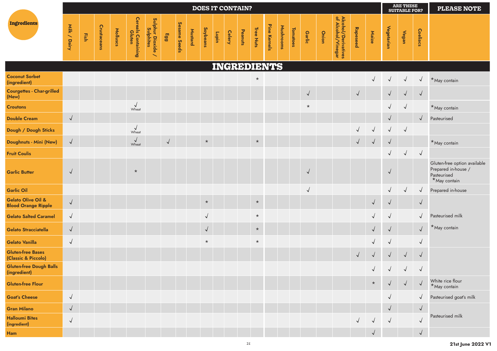|                                                  |              |      |             |          |                              |                                                            |            |              |         |            |              |               | <b>DOES IT CONTAIN?</b> |           |              |           |                 |            |       |                                           |            |              |            | <b>ARE THESE</b><br><b>SUITABLE FOR?</b> |              | <b>PLEASE NOTE</b>                                                                 |
|--------------------------------------------------|--------------|------|-------------|----------|------------------------------|------------------------------------------------------------|------------|--------------|---------|------------|--------------|---------------|-------------------------|-----------|--------------|-----------|-----------------|------------|-------|-------------------------------------------|------------|--------------|------------|------------------------------------------|--------------|------------------------------------------------------------------------------------|
| <b>Ingredients</b>                               | Milk / Dairy | Fish | Crustaceans | Molluscs | Cereals Containing<br>Gluten | Sulphur Dioxide ,<br>Sulphites<br>$\overline{\phantom{0}}$ | Egg        | Sesame Seeds | Mustard | Soybeans   | <b>Lupin</b> | <b>Celery</b> | Peanuts                 | Tree Nuts | Pine Kernels | Mushrooms | <b>Tomatoes</b> | Garlic     | Onion | Alcohol/Derivatives<br>of Alcohol/Vinegar | Rapeseed   | Maize        | Vegetarian | Vegan                                    | Coeliacs     |                                                                                    |
|                                                  |              |      |             |          |                              |                                                            |            |              |         |            |              |               | INGREDIENTS             |           |              |           |                 |            |       |                                           |            |              |            |                                          |              |                                                                                    |
| <b>Coconut Sorbet</b><br>(ingredient)            |              |      |             |          |                              |                                                            |            |              |         |            |              |               |                         | $\star$   |              |           |                 |            |       |                                           |            | $\sqrt{ }$   | $\sqrt{ }$ | $\sqrt{ }$                               | $\sqrt{ }$   | *May contain                                                                       |
| <b>Courgettes - Char-grilled</b><br>(New)        |              |      |             |          |                              |                                                            |            |              |         |            |              |               |                         |           |              |           |                 | $\sqrt{ }$ |       |                                           | $\sqrt{ }$ |              | $\sqrt{ }$ | $\sqrt{ }$                               | $\sqrt{ }$   |                                                                                    |
| <b>Croutons</b>                                  |              |      |             |          | $\sqrt{\frac{1}{2}}$         |                                                            |            |              |         |            |              |               |                         |           |              |           |                 | $\star$    |       |                                           |            |              | $\sqrt{2}$ | $\sqrt{ }$                               |              | *May contain                                                                       |
| <b>Double Cream</b>                              | $\sqrt{}$    |      |             |          |                              |                                                            |            |              |         |            |              |               |                         |           |              |           |                 |            |       |                                           |            |              | $\sqrt{ }$ |                                          | $\sqrt{}$    | Pasteurised                                                                        |
| Dough / Dough Sticks                             |              |      |             |          | Wheat                        |                                                            |            |              |         |            |              |               |                         |           |              |           |                 |            |       |                                           |            | $\sqrt{ }$   | $\sqrt{ }$ | $\sqrt{ }$                               |              |                                                                                    |
| Doughnuts - Mini (New)                           | $\sqrt{ }$   |      |             |          | $\sqrt{\frac{1}{2}}$         |                                                            | $\sqrt{ }$ |              |         | $\star$    |              |               |                         | $\star$   |              |           |                 |            |       |                                           | $\sqrt{2}$ | $\sqrt{ }$   | $\sqrt{2}$ |                                          |              | *May contain                                                                       |
| <b>Fruit Coulis</b>                              |              |      |             |          |                              |                                                            |            |              |         |            |              |               |                         |           |              |           |                 |            |       |                                           |            |              | $\sqrt{2}$ | $\sqrt{ }$                               | $\sqrt{2}$   |                                                                                    |
| <b>Garlic Butter</b>                             | $\checkmark$ |      |             |          | $\star$                      |                                                            |            |              |         |            |              |               |                         |           |              |           |                 | $\sqrt{ }$ |       |                                           |            |              | $\sqrt{2}$ |                                          |              | Gluten-free option available<br>Prepared in-house /<br>Pasteurised<br>*May contain |
| <b>Garlic Oil</b>                                |              |      |             |          |                              |                                                            |            |              |         |            |              |               |                         |           |              |           |                 | $\vee$     |       |                                           |            |              | $\sqrt{ }$ | $\sqrt{ }$                               | $\sqrt{ }$   | Prepared in-house                                                                  |
| Gelato Olive Oil &<br><b>Blood Orange Ripple</b> | $\checkmark$ |      |             |          |                              |                                                            |            |              |         | $\star$    |              |               |                         | $\star$   |              |           |                 |            |       |                                           |            | $\sqrt{ }$   | $\sqrt{2}$ |                                          | $\sqrt{ }$   |                                                                                    |
| <b>Gelato Salted Caramel</b>                     | $\sqrt{ }$   |      |             |          |                              |                                                            |            |              |         | $\sqrt{ }$ |              |               |                         | $\star$   |              |           |                 |            |       |                                           |            | $\sqrt{ }$   | $\sqrt{2}$ |                                          | $\checkmark$ | Pasteurised milk                                                                   |
| <b>Gelato Stracciatella</b>                      | $\sqrt{ }$   |      |             |          |                              |                                                            |            |              |         | $\sqrt{2}$ |              |               |                         | $\star$   |              |           |                 |            |       |                                           |            | $\sqrt{ }$   | $\sqrt{2}$ |                                          | $\sqrt{}$    | *May contain                                                                       |
| <b>Gelato Vanilla</b>                            | $\checkmark$ |      |             |          |                              |                                                            |            |              |         | $\star$    |              |               |                         | $\star$   |              |           |                 |            |       |                                           |            | $\checkmark$ | $\sqrt{2}$ |                                          | $\sqrt{ }$   |                                                                                    |
| <b>Gluten-free Bases</b><br>(Classic & Piccolo)  |              |      |             |          |                              |                                                            |            |              |         |            |              |               |                         |           |              |           |                 |            |       |                                           | $\sqrt{ }$ | $\sqrt{ }$   | $\sqrt{ }$ | $\sqrt{ }$                               | $\sqrt{ }$   |                                                                                    |
| <b>Gluten-free Dough Balls</b><br>(ingredient)   |              |      |             |          |                              |                                                            |            |              |         |            |              |               |                         |           |              |           |                 |            |       |                                           |            | $\sqrt{ }$   | $\sqrt{2}$ |                                          | $\sqrt{ }$   |                                                                                    |
| <b>Gluten-free Flour</b>                         |              |      |             |          |                              |                                                            |            |              |         |            |              |               |                         |           |              |           |                 |            |       |                                           |            | $\star$      |            | $\sqrt{ }$                               | $\sqrt{ }$   | White rice flour<br>*May contain                                                   |
| <b>Goat's Cheese</b>                             | $\checkmark$ |      |             |          |                              |                                                            |            |              |         |            |              |               |                         |           |              |           |                 |            |       |                                           |            |              | $\sqrt{ }$ |                                          | √            | Pasteurised goat's milk                                                            |
| <b>Gran Milano</b>                               | $\sqrt{}$    |      |             |          |                              |                                                            |            |              |         |            |              |               |                         |           |              |           |                 |            |       |                                           |            |              | $\sqrt{ }$ |                                          | $\sqrt{ }$   |                                                                                    |
| <b>Halloumi Bites</b><br>(ingredient)            | $\checkmark$ |      |             |          |                              |                                                            |            |              |         |            |              |               |                         |           |              |           |                 |            |       |                                           | $\sqrt{2}$ | $\sqrt{ }$   | $\sqrt{ }$ |                                          | $\checkmark$ | Pasteurised milk                                                                   |
| Ham                                              |              |      |             |          |                              |                                                            |            |              |         |            |              |               |                         |           |              |           |                 |            |       |                                           |            | $\sqrt{ }$   |            |                                          | $\sqrt{ }$   |                                                                                    |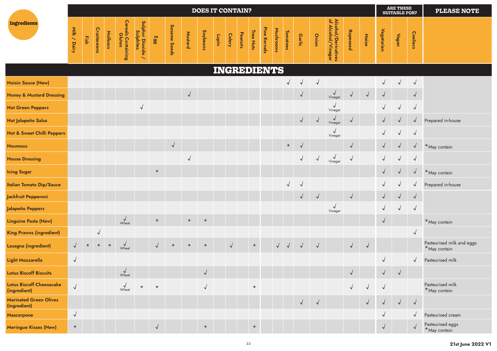|                                                 |              |         |              |          |                              |                                                                |                 |              |                | <b>DOES IT CONTAIN?</b> |        |               |         |           |              |           |                 |            |            |                                           |              |            |              | <b>ARE THESE</b><br><b>SUITABLE FOR?</b> |              | <b>PLEASE NOTE</b>                        |
|-------------------------------------------------|--------------|---------|--------------|----------|------------------------------|----------------------------------------------------------------|-----------------|--------------|----------------|-------------------------|--------|---------------|---------|-----------|--------------|-----------|-----------------|------------|------------|-------------------------------------------|--------------|------------|--------------|------------------------------------------|--------------|-------------------------------------------|
| Ingredients                                     | Milk / Dairy | Fish    | Crustaceans  | Molluscs | Cereals Containing<br>Gluten | Sulphur Dioxide<br>Sulphur Dioxide<br>$\overline{\phantom{0}}$ | 66 <sub>3</sub> | Sesame Seeds | <b>Mustard</b> | Soybeans                | unquin | <b>Celery</b> | Peanuts | Tree Nuts | Pine Kernels | Mushrooms | <b>Tomatoes</b> | Garlic     | Onion      | Alcohol/Derivatives<br>of Alcohol/Vinegar | Rapeseed     | Maize      | Vegetarian   | Vegan                                    | Coeliacs     |                                           |
|                                                 |              |         |              |          |                              |                                                                |                 |              |                |                         |        | INGREDIENTS   |         |           |              |           |                 |            |            |                                           |              |            |              |                                          |              |                                           |
| <b>Hoisin Sauce (New)</b>                       |              |         |              |          |                              |                                                                |                 |              |                |                         |        |               |         |           |              |           | $\sqrt{ }$      | $\sqrt{}$  | $\sqrt{ }$ |                                           |              |            | $\checkmark$ | $\checkmark$                             | $\sqrt{ }$   |                                           |
| <b>Honey &amp; Mustard Dressing</b>             |              |         |              |          |                              |                                                                |                 |              | $\sqrt{ }$     |                         |        |               |         |           |              |           |                 | $\sqrt{ }$ |            | $\sqrt{\frac{1}{2}}$                      | $\checkmark$ | $\sqrt{ }$ | $\sqrt{ }$   |                                          | $\sqrt{ }$   |                                           |
| <b>Hot Green Peppers</b>                        |              |         |              |          |                              | $\sqrt{ }$                                                     |                 |              |                |                         |        |               |         |           |              |           |                 |            |            | √<br>Vinegar                              |              |            | $\checkmark$ | $\sqrt{}$                                | $\sqrt{ }$   |                                           |
| Hot Jalapeño Salsa                              |              |         |              |          |                              |                                                                |                 |              |                |                         |        |               |         |           |              |           |                 | $\sqrt{ }$ | $\sqrt{ }$ | $\checkmark$<br>Vinegar                   | $\sqrt{2}$   |            | $\sqrt{}$    |                                          | $\checkmark$ | Prepared in-house                         |
| <b>Hot &amp; Sweet Chilli Peppers</b>           |              |         |              |          |                              |                                                                |                 |              |                |                         |        |               |         |           |              |           |                 |            |            | √<br>Vinegar                              |              |            |              | $\sqrt{ }$                               | $\sqrt{ }$   |                                           |
| <b>Houmous</b>                                  |              |         |              |          |                              |                                                                |                 | $\sqrt{ }$   |                |                         |        |               |         |           |              |           | $\star$         |            |            |                                           | $\sqrt{ }$   |            | $\sqrt{2}$   |                                          | $\sqrt{ }$   | *May contain                              |
| <b>House Dressing</b>                           |              |         |              |          |                              |                                                                |                 |              | √              |                         |        |               |         |           |              |           |                 | $\sqrt{ }$ | $\sqrt{ }$ | $\sqrt{\frac{1}{2}}$                      | $\sqrt{ }$   |            | $\checkmark$ | $\checkmark$                             | $\sqrt{ }$   |                                           |
| <b>Icing Sugar</b>                              |              |         |              |          |                              |                                                                | $\star$         |              |                |                         |        |               |         |           |              |           |                 |            |            |                                           |              |            | $\sqrt{ }$   | $\checkmark$                             | $\checkmark$ | *May contain                              |
| <b>Italian Tomato Dip/Sauce</b>                 |              |         |              |          |                              |                                                                |                 |              |                |                         |        |               |         |           |              |           | $\sqrt{ }$      | $\sqrt{2}$ |            |                                           |              |            |              |                                          | $\sqrt{ }$   | Prepared in-house                         |
| Jackfruit Pepperoni                             |              |         |              |          |                              |                                                                |                 |              |                |                         |        |               |         |           |              |           |                 | $\sqrt{ }$ | $\sqrt{ }$ |                                           | $\sqrt{ }$   |            | $\sqrt{ }$   | $\sqrt{}$                                | $\sqrt{ }$   |                                           |
| Jalapeño Peppers                                |              |         |              |          |                              |                                                                |                 |              |                |                         |        |               |         |           |              |           |                 |            |            | $\checkmark$<br>Vinegar                   |              |            | $\checkmark$ | $\checkmark$                             | $\sqrt{ }$   |                                           |
| <b>Linguine Pasta (New)</b>                     |              |         |              |          | $\sqrt{\frac{1}{2}}$         |                                                                | $\star$         |              | $\star$        | $\star$                 |        |               |         |           |              |           |                 |            |            |                                           |              |            | $\sqrt{}$    |                                          |              | *May contain                              |
| <b>King Prawns (ingredient)</b>                 |              |         | $\checkmark$ |          |                              |                                                                |                 |              |                |                         |        |               |         |           |              |           |                 |            |            |                                           |              |            |              |                                          | $\sqrt{ }$   |                                           |
| Lasagna (ingredient)                            | $\sqrt{ }$   | $\star$ | $\star$      | $\star$  | $\sqrt{\frac{1}{2}}$         |                                                                | $\sqrt{2}$      | $\star$      | $\star$        | $\star$                 |        | $\sqrt{}$     |         | $\star$   |              |           | $\sqrt{2}$      | $\sqrt{ }$ | $\sqrt{ }$ |                                           | $\sqrt{2}$   | $\sqrt{ }$ |              |                                          |              | Pasteurised milk and eggs<br>*May contain |
| Light Mozzarella                                | $\sqrt{ }$   |         |              |          |                              |                                                                |                 |              |                |                         |        |               |         |           |              |           |                 |            |            |                                           |              |            | $\sqrt{ }$   |                                          | $\sqrt{ }$   | Pasteurised milk                          |
| <b>Lotus Biscoff Biscuits</b>                   |              |         |              |          | $\sqrt{1-\lambda}$<br>Wheat  |                                                                |                 |              |                | $\checkmark$            |        |               |         |           |              |           |                 |            |            |                                           |              |            | $\checkmark$ | $\sqrt{ }$                               |              |                                           |
| <b>Lotus Biscoff Cheesecake</b><br>(ingredient) | $\sqrt{ }$   |         |              |          | $\sqrt{\frac{1}{2}}$         | $\star$                                                        | $\star$         |              |                | $\sqrt{ }$              |        |               |         | $\star$   |              |           |                 |            |            |                                           | $\checkmark$ | $\sqrt{ }$ | $\sqrt{ }$   |                                          |              | Pasteurised milk<br>*May contain          |
| <b>Marinated Green Olives</b><br>(ingredient)   |              |         |              |          |                              |                                                                |                 |              |                |                         |        |               |         |           |              |           |                 | $\sqrt{2}$ | $\sqrt{ }$ |                                           |              | $\sqrt{ }$ | $\sqrt{ }$   | $\sqrt{ }$                               | $\sqrt{ }$   |                                           |
| <b>Mascarpone</b>                               | $\sqrt{2}$   |         |              |          |                              |                                                                |                 |              |                |                         |        |               |         |           |              |           |                 |            |            |                                           |              |            | $\checkmark$ |                                          | $\checkmark$ | Pasteurised cream                         |
| <b>Meringue Kisses (New)</b>                    | $\star$      |         |              |          |                              |                                                                | $\sqrt{ }$      |              |                | $\star$                 |        |               |         | $\star$   |              |           |                 |            |            |                                           |              |            | $\sqrt{ }$   |                                          | $\sqrt{}$    | Pasteurised eggs<br>*May contain          |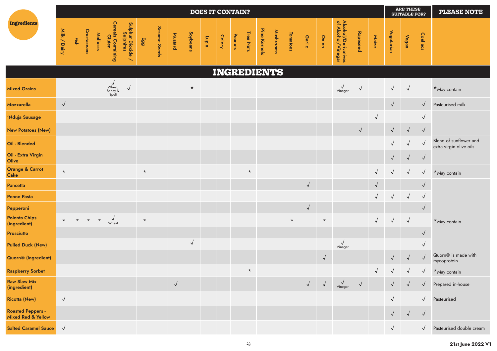|                                                           |              |      |                    |          |                                                            |                                                                |         |              |            |                 | <b>DOES IT CONTAIN?</b> |               |         |           |              |             |                 |            |            |                                           |            |            |            | <b>ARE THESE</b><br><b>SUITABLE FOR?</b> |              | <b>PLEASE NOTE</b>                                |
|-----------------------------------------------------------|--------------|------|--------------------|----------|------------------------------------------------------------|----------------------------------------------------------------|---------|--------------|------------|-----------------|-------------------------|---------------|---------|-----------|--------------|-------------|-----------------|------------|------------|-------------------------------------------|------------|------------|------------|------------------------------------------|--------------|---------------------------------------------------|
| Ingredients                                               | Milk / Dairy | Fish | <b>Crustaceans</b> | Molluscs | <b>Cereals Containing</b><br>Gluten                        | Sulphur Dioxide<br>Sulphur Dioxide<br>$\overline{\phantom{0}}$ | 663     | Sesame Seeds | Mustard    | <b>Soybeans</b> | Lupin                   | <b>Celery</b> | Peanuts | Tree Nuts | Pine Kernels | Mushrooms   | <b>Tomatoes</b> | Garlic     | Onion      | Alcohol/Derivatives<br>of Alcohol/Vinegar | Rapeseed   | Maize      | Vegetarian | Vegan                                    | Coeliacs     |                                                   |
|                                                           |              |      |                    |          |                                                            |                                                                |         |              |            |                 |                         |               |         |           |              | INGREDIENTS |                 |            |            |                                           |            |            |            |                                          |              |                                                   |
| <b>Mixed Grains</b>                                       |              |      |                    |          | V<br>Wheat,<br>Barley &<br>Spelt                           | $\sqrt{ }$                                                     |         |              |            | $\star$         |                         |               |         |           |              |             |                 |            |            | $\checkmark$<br>Vinegar                   | $\vee$     |            | $\sqrt{ }$ | $\sqrt{ }$                               |              | *May contain                                      |
| <b>Mozzarella</b>                                         | $\sqrt{ }$   |      |                    |          |                                                            |                                                                |         |              |            |                 |                         |               |         |           |              |             |                 |            |            |                                           |            |            | $\sqrt{ }$ |                                          | $\sqrt{ }$   | Pasteurised milk                                  |
| 'Nduja Sausage                                            |              |      |                    |          |                                                            |                                                                |         |              |            |                 |                         |               |         |           |              |             |                 |            |            |                                           |            | $\sqrt{ }$ |            |                                          | $\checkmark$ |                                                   |
| <b>New Potatoes (New)</b>                                 |              |      |                    |          |                                                            |                                                                |         |              |            |                 |                         |               |         |           |              |             |                 |            |            |                                           | $\sqrt{ }$ |            | $\sqrt{ }$ | $\sqrt{ }$                               | $\sqrt{ }$   |                                                   |
| Oil - Blended                                             |              |      |                    |          |                                                            |                                                                |         |              |            |                 |                         |               |         |           |              |             |                 |            |            |                                           |            |            | $\sqrt{ }$ | $\sqrt{}$                                | $\sqrt{ }$   | Blend of sunflower and<br>extra virgin olive oils |
| Oil - Extra Virgin<br>Olive                               |              |      |                    |          |                                                            |                                                                |         |              |            |                 |                         |               |         |           |              |             |                 |            |            |                                           |            |            | $\sqrt{2}$ | $\sqrt{ }$                               | $\sqrt{ }$   |                                                   |
| <b>Orange &amp; Carrot</b><br><b>Cake</b>                 | $\star$      |      |                    |          |                                                            |                                                                | $\star$ |              |            |                 |                         |               |         | $\star$   |              |             |                 |            |            |                                           |            |            | $\sqrt{ }$ | $\checkmark$                             | $\sqrt{ }$   | $*$ May contain                                   |
| <b>Pancetta</b>                                           |              |      |                    |          |                                                            |                                                                |         |              |            |                 |                         |               |         |           |              |             |                 | $\sqrt{ }$ |            |                                           |            | $\sqrt{ }$ |            |                                          | $\sqrt{2}$   |                                                   |
| <b>Penne Pasta</b>                                        |              |      |                    |          |                                                            |                                                                |         |              |            |                 |                         |               |         |           |              |             |                 |            |            |                                           |            |            | $\sqrt{2}$ | $\sqrt{ }$                               | $\sqrt{2}$   |                                                   |
| Pepperoni                                                 |              |      |                    |          |                                                            |                                                                |         |              |            |                 |                         |               |         |           |              |             |                 | $\sqrt{}$  |            |                                           |            |            |            |                                          | $\sqrt{ }$   |                                                   |
| <b>Polenta Chips</b><br>(ingredient)                      |              |      |                    |          | $\star$ $\star$ $\star$ $\star$ $\sqrt{\phantom{0}}$ Wheat |                                                                | $\star$ |              |            |                 |                         |               |         |           |              |             | $\star$         |            | $\star$    |                                           |            | $\sqrt{}$  | $\sqrt{ }$ | $\sqrt{ }$                               |              | *May contain                                      |
| <b>Prosciutto</b>                                         |              |      |                    |          |                                                            |                                                                |         |              |            |                 |                         |               |         |           |              |             |                 |            |            |                                           |            |            |            |                                          | $\sqrt{2}$   |                                                   |
| <b>Pulled Duck (New)</b>                                  |              |      |                    |          |                                                            |                                                                |         |              |            | $\sqrt{ }$      |                         |               |         |           |              |             |                 |            |            | $\sqrt{ }$<br>Vinegar                     |            |            |            |                                          | $\checkmark$ |                                                   |
| <b>Quorn®</b> (ingredient)                                |              |      |                    |          |                                                            |                                                                |         |              |            |                 |                         |               |         |           |              |             |                 |            | $\sqrt{ }$ |                                           |            |            | $\sqrt{ }$ |                                          | $\sqrt{}$    | Quorn <sup>®</sup> is made with<br>mycoprotein    |
| <b>Raspberry Sorbet</b>                                   |              |      |                    |          |                                                            |                                                                |         |              |            |                 |                         |               |         |           |              |             |                 |            |            |                                           |            | $\sqrt{ }$ |            | $\sqrt{2}$                               | $\sqrt{2}$   | $*$ May contain                                   |
| <b>Raw Slaw Mix</b><br>(ingredient)                       |              |      |                    |          |                                                            |                                                                |         |              | $\sqrt{2}$ |                 |                         |               |         |           |              |             |                 | $\sqrt{ }$ | $\sqrt{ }$ | $\sqrt{ }$<br>Vinegar                     | $\sqrt{ }$ |            | $\sqrt{ }$ | $\sqrt{ }$                               | $\sqrt{ }$   | Prepared in-house                                 |
| <b>Ricotta (New)</b>                                      | $\sqrt{ }$   |      |                    |          |                                                            |                                                                |         |              |            |                 |                         |               |         |           |              |             |                 |            |            |                                           |            |            | $\sqrt{ }$ |                                          | $\sqrt{ }$   | Pasteurised                                       |
| <b>Roasted Peppers -</b><br><b>Mixed Red &amp; Yellow</b> |              |      |                    |          |                                                            |                                                                |         |              |            |                 |                         |               |         |           |              |             |                 |            |            |                                           |            |            | $\sqrt{ }$ | $\sqrt{ }$                               | $\sqrt{ }$   |                                                   |
| <b>Salted Caramel Sauce</b>                               | $\sqrt{ }$   |      |                    |          |                                                            |                                                                |         |              |            |                 |                         |               |         |           |              |             |                 |            |            |                                           |            |            | $\sqrt{ }$ |                                          | $\sqrt{ }$   | Pasteurised double cream                          |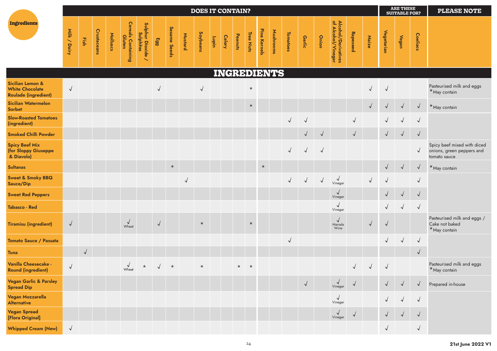|                                                                           |              |            |             |          |                                     |                                |            |              |              | <b>DOES IT CONTAIN?</b> |       |               |         |           |              |             |            |            |            |                                           |              |              |            | <b>ARE THESE</b><br><b>SUITABLE FOR?</b> |            | <b>PLEASE NOTE</b>                                                       |
|---------------------------------------------------------------------------|--------------|------------|-------------|----------|-------------------------------------|--------------------------------|------------|--------------|--------------|-------------------------|-------|---------------|---------|-----------|--------------|-------------|------------|------------|------------|-------------------------------------------|--------------|--------------|------------|------------------------------------------|------------|--------------------------------------------------------------------------|
| Ingredients                                                               | Milk / Dairy | Fish       | Crustaceans | Molluscs | <b>Cereals Containing</b><br>Gluten | Sulphur Dioxide ,<br>Sulphites | Egg        | Sesame Seeds | Mustard      | Soybeans                | Lupin | <b>Celery</b> | Peanuts | Tree Nuts | Pine Kernels | Mushrooms   | Tomatoes   | Garlic     | Onion      | Alcohol/Derivatives<br>of Alcohol/Vinegar | Rapeseed     | Maize        | Vegetarian | Vegan                                    | Coeliacs   |                                                                          |
|                                                                           |              |            |             |          |                                     |                                |            |              |              |                         |       |               |         |           |              | INGREDIENTS |            |            |            |                                           |              |              |            |                                          |            |                                                                          |
| Sicilian Lemon &<br><b>White Chocolate</b><br><b>Roulade (ingredient)</b> | $\sqrt{2}$   |            |             |          |                                     |                                |            |              |              | $\sqrt{ }$              |       |               |         | $\star$   |              |             |            |            |            |                                           |              | $\checkmark$ | $\vee$     |                                          |            | Pasteurised milk and eggs<br>*May contain                                |
| <b>Sicilian Watermelon</b><br>Sorbet                                      |              |            |             |          |                                     |                                |            |              |              |                         |       |               |         | $\star$   |              |             |            |            |            |                                           |              | $\sqrt{ }$   | $\sqrt{ }$ | $\sqrt{}$                                | $\sqrt{ }$ | *May contain                                                             |
| <b>Slow-Roasted Tomatoes</b><br>(ingredient)                              |              |            |             |          |                                     |                                |            |              |              |                         |       |               |         |           |              |             | $\sqrt{2}$ | $\vee$     |            |                                           | $\vee$       |              | $\sqrt{ }$ | $\sqrt{ }$                               | $\sqrt{ }$ |                                                                          |
| <b>Smoked Chilli Powder</b>                                               |              |            |             |          |                                     |                                |            |              |              |                         |       |               |         |           |              |             |            | $\sqrt{}$  | $\sqrt{ }$ |                                           | $\sqrt{ }$   |              | $\sqrt{ }$ | $\sqrt{ }$                               | $\sqrt{ }$ |                                                                          |
| <b>Spicy Beef Mix</b><br>(for Sloppy Giuseppe<br>& Diavolo)               |              |            |             |          |                                     |                                |            |              |              |                         |       |               |         |           |              |             | $\sqrt{ }$ | $\sqrt{ }$ | $\sqrt{ }$ |                                           |              |              |            |                                          | $\sqrt{ }$ | Spicy beef mixed with diced<br>onions, green peppers and<br>tomato sauce |
| <b>Sultanas</b>                                                           |              |            |             |          |                                     |                                |            | $\star$      |              |                         |       |               |         |           | $\star$      |             |            |            |            |                                           |              |              | $\sqrt{ }$ | $\sqrt{ }$                               | $\sqrt{}$  | *May contain                                                             |
| <b>Sweet &amp; Smoky BBQ</b><br>Sauce/Dip                                 |              |            |             |          |                                     |                                |            |              | $\checkmark$ |                         |       |               |         |           |              |             |            |            | $\sqrt{ }$ | $\checkmark$<br>Vinegar                   |              | $\sqrt{2}$   |            |                                          | $\sqrt{2}$ |                                                                          |
| <b>Sweet Red Peppers</b>                                                  |              |            |             |          |                                     |                                |            |              |              |                         |       |               |         |           |              |             |            |            |            | $\sqrt{ }$<br>Vinegar                     |              |              | $\sqrt{ }$ | $\sqrt{ }$                               | $\sqrt{ }$ |                                                                          |
| Tabasco - Red                                                             |              |            |             |          |                                     |                                |            |              |              |                         |       |               |         |           |              |             |            |            |            | $\checkmark$<br>Vinegar                   |              |              | $\sqrt{ }$ | $\sqrt{ }$                               | $\sqrt{ }$ |                                                                          |
| <b>Tiramisu (ingredient)</b>                                              | $\sqrt{ }$   |            |             |          | $\sqrt{\frac{1}{2}}$                |                                | $\sqrt{2}$ |              |              | $\star$                 |       |               |         | $\star$   |              |             |            |            |            | $\sqrt{ }$<br>Marsala<br>Wine             |              | $\sqrt{}$    | $\sqrt{2}$ |                                          |            | Pasteurised milk and eggs /<br>Cake not baked<br>*May contain            |
| <b>Tomato Sauce / Passata</b>                                             |              |            |             |          |                                     |                                |            |              |              |                         |       |               |         |           |              |             | $\vee$     |            |            |                                           |              |              | $\sqrt{}$  | $\sqrt{ }$                               | $\sqrt{ }$ |                                                                          |
| <b>Tuna</b>                                                               |              | $\sqrt{ }$ |             |          |                                     |                                |            |              |              |                         |       |               |         |           |              |             |            |            |            |                                           |              |              |            |                                          | $\sqrt{}$  |                                                                          |
| Vanilla Cheesecake -<br><b>Round (ingredient)</b>                         | $\sqrt{ }$   |            |             |          | $\sqrt{\frac{1}{2}}$                | $\star$                        |            | $\star$      |              | $\star$                 |       |               | $\star$ | $\star$   |              |             |            |            |            |                                           | $\sqrt{ }$   | $\sqrt{ }$   | $\sqrt{ }$ |                                          |            | Pasteurised milk and eggs<br>*May contain                                |
| <b>Vegan Garlic &amp; Parsley</b><br><b>Spread Dip</b>                    |              |            |             |          |                                     |                                |            |              |              |                         |       |               |         |           |              |             |            | $\sqrt{ }$ |            | $\sqrt{ }$<br>Vinegar                     | $\sqrt{ }$   |              | $\sqrt{ }$ | $\sqrt{ }$                               | $\sqrt{ }$ | Prepared in-house                                                        |
| Vegan Mozzarella<br><b>Alternative</b>                                    |              |            |             |          |                                     |                                |            |              |              |                         |       |               |         |           |              |             |            |            |            | $\checkmark$<br>Vinegar                   |              |              |            | $\sqrt{}$                                | $\sqrt{ }$ |                                                                          |
| <b>Vegan Spread</b><br>[Flora Original]                                   |              |            |             |          |                                     |                                |            |              |              |                         |       |               |         |           |              |             |            |            |            | $\sqrt{ }$<br>Vinegar                     | $\checkmark$ |              | $\sqrt{ }$ | $\sqrt{ }$                               | $\sqrt{ }$ |                                                                          |
| <b>Whipped Cream (New)</b>                                                | $\sqrt{ }$   |            |             |          |                                     |                                |            |              |              |                         |       |               |         |           |              |             |            |            |            |                                           |              |              | $\sqrt{ }$ |                                          | $\sqrt{}$  |                                                                          |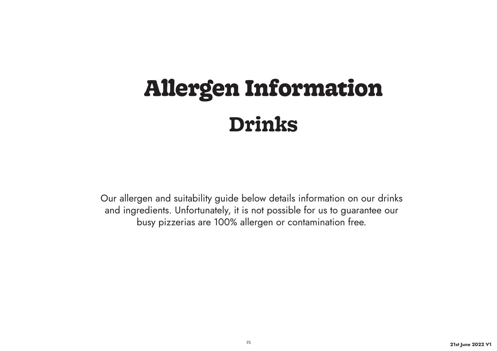# **Allergen Information Drinks**

Our allergen and suitability guide below details information on our drinks and ingredients. Unfortunately, it is not possible for us to guarantee our busy pizzerias are 100% allergen or contamination free.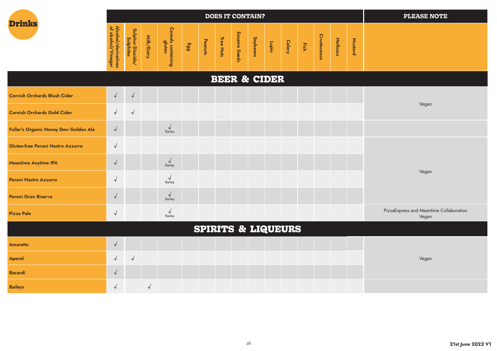|                                              |                                           |                               |            |                              |     |         |           | <b>DOES IT CONTAIN?</b> |                 |                 |                |                    |          |         | <b>PLEASE NOTE</b> |
|----------------------------------------------|-------------------------------------------|-------------------------------|------------|------------------------------|-----|---------|-----------|-------------------------|-----------------|-----------------|----------------|--------------------|----------|---------|--------------------|
| <b>Drinks</b>                                | Alcohol/derivatives<br>of alcohol/Vinegar | Sulphur Dioxide/<br>Sulphites | Milk/Dairy | Cereals containing<br>gluten | 663 | Peanuts | Tree Nuts | Sesame Seeds            | <b>Soybeans</b> | Celery<br>Lupin | $\frac{1}{25}$ | <b>Crusteceans</b> | Molluscs | Mustard |                    |
|                                              |                                           |                               |            |                              |     |         |           | <b>BEER &amp; CIDER</b> |                 |                 |                |                    |          |         |                    |
| <b>Cornish Orchards Blush Cider</b>          | $\sqrt{ }$                                | $\sqrt{ }$                    |            |                              |     |         |           |                         |                 |                 |                |                    |          |         |                    |
| <b>Cornish Orchards Gold Cider</b>           | $\sqrt{ }$                                | $\sqrt{ }$                    |            |                              |     |         |           |                         |                 |                 |                |                    |          |         | Vegan              |
| <b>Fuller's Organic Honey Dew Golden Ale</b> | $\sqrt{ }$                                |                               |            | $\sqrt{\frac{1}{2}}$         |     |         |           |                         |                 |                 |                |                    |          |         |                    |
| <b>Gluten-free Peroni Nastro Azzurro</b>     | $\sqrt{ }$                                |                               |            |                              |     |         |           |                         |                 |                 |                |                    |          |         |                    |
| <b>Meantime Anytime IPA</b>                  | $\sqrt{ }$                                |                               |            | $\checkmark$<br>Barley       |     |         |           |                         |                 |                 |                |                    |          |         |                    |
| <b>Peroni Nastro Azzurro</b>                 | $\sqrt{ }$                                |                               |            | Barley                       |     |         |           |                         |                 |                 |                |                    |          |         | Vegan              |
| <b>Peroni Gran Riserva</b>                   | $\sqrt{ }$                                |                               |            | $\vee$<br>$R_2r$             |     |         |           |                         |                 |                 |                |                    |          |         |                    |

| PizzaExpress and Meantime Collaboration | Barley |
|-----------------------------------------|--------|
| Pizza Pale                              | Vegar. |

# **SPIRITS & LIQUEURS**

|                 |  |  | $\frac{1}{2}$ . The set of the set of $\frac{1}{2}$ , $\frac{1}{2}$ , $\frac{1}{2}$ , $\frac{1}{2}$ , $\frac{1}{2}$ , $\frac{1}{2}$ , $\frac{1}{2}$ |  |  |  |       |
|-----------------|--|--|-----------------------------------------------------------------------------------------------------------------------------------------------------|--|--|--|-------|
| <b>Amaretto</b> |  |  |                                                                                                                                                     |  |  |  |       |
| Aperol          |  |  |                                                                                                                                                     |  |  |  | Vegan |
| <b>Bacardi</b>  |  |  |                                                                                                                                                     |  |  |  |       |
| <b>Baileys</b>  |  |  |                                                                                                                                                     |  |  |  |       |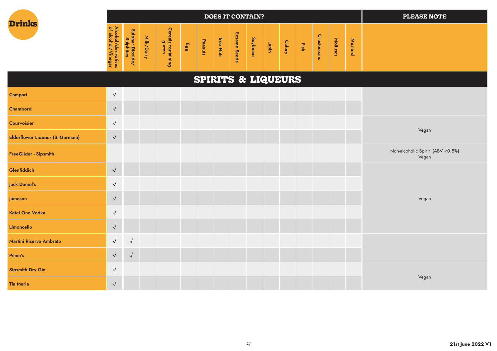| <b>Drinks</b> |  |
|---------------|--|
|               |  |

Campari

**Chambord** 

**Courvoisier** 

|                                                                             |                                                                                |                                          |                                                                                                             |     |                         | <b>DOES IT CONTAIN?</b>                |                                             |                                 |                            |                                              |      |                                                 |                                  |                                                     | <b>PLEASE NOTE</b> |
|-----------------------------------------------------------------------------|--------------------------------------------------------------------------------|------------------------------------------|-------------------------------------------------------------------------------------------------------------|-----|-------------------------|----------------------------------------|---------------------------------------------|---------------------------------|----------------------------|----------------------------------------------|------|-------------------------------------------------|----------------------------------|-----------------------------------------------------|--------------------|
| ⊵<br>$\mathbf{R}$<br>alc<br>5<br>ö<br>P<br>ō<br><i>inegar</i><br>diry<br>္တ | ဖွ<br>들<br><b>S</b><br>=<br>-<br>-<br>5<br>◡<br>$-$<br>-<br>$\sim$<br>≏.<br>နှ | 흨<br>U<br>읔.<br>$\overline{\phantom{a}}$ | <b>D</b><br>-<br>glut<br>$\boldsymbol{\omega}$<br>Р<br>gi<br>۰<br>-<br>--<br>-<br>--<br>-<br>$\overline{a}$ | Egg | Pe<br>ω<br>=<br>-<br>ā‡ | Œ<br>$\sigma$<br>-<br>−<br>►<br>⊐<br>m | Ses<br>Ö<br>-<br>-<br>Φ<br>ဖ<br>Ō<br>Φ<br>ၕ | ဖ<br>Lo<br>ಕ<br>$\sigma$<br>sue | -<br>∼<br>۰<br>ठ<br>-<br>- | $\overline{\mathbf{P}}$<br>$\mathbf{Q}$<br>ٮ | Εish | ဂ္<br>asp.<br>$\Omega$<br>$\overline{c}$<br>sue | 흐<br>$=$<br>$\overline{a}$<br>S. | -<br>-<br>$\boldsymbol{\omega}$<br>ـ<br>ω<br>-<br>௨ |                    |

# **SPIRITS & LIQUEURS**  $\sqrt{ }$  $\sqrt{ }$  $\sqrt{ }$ Vegan Elderflower Liqueur (St-Germain)  $\sqrt{}$ Vegan

| FreeGlider - Sipsmith   |                                |            |  |  |  |  |  |  | Non-alcoholic Spirit (ABV < 0.5%)<br>Vegan |
|-------------------------|--------------------------------|------------|--|--|--|--|--|--|--------------------------------------------|
| Glenfiddich             | $\checkmark$                   |            |  |  |  |  |  |  |                                            |
| Jack Daniel's           | $\checkmark$                   |            |  |  |  |  |  |  |                                            |
| <b>Jameson</b>          | $\overline{I}$<br>$\checkmark$ |            |  |  |  |  |  |  | Vegan                                      |
| Ketel One Vodka         | $\checkmark$                   |            |  |  |  |  |  |  |                                            |
| Limoncello              | $\overline{I}$<br>$\sqrt{ }$   |            |  |  |  |  |  |  |                                            |
| Martini Riserva Ambrato | $\sqrt{ }$                     | $\sqrt{ }$ |  |  |  |  |  |  |                                            |
| Pimm's                  | $\sqrt{ }$<br>$\checkmark$     | $\sqrt{ }$ |  |  |  |  |  |  |                                            |
| Sipsmith Dry Gin        | √                              |            |  |  |  |  |  |  |                                            |
| Tia Maria               | $\overline{1}$<br>$\sqrt{ }$   |            |  |  |  |  |  |  | Vegan                                      |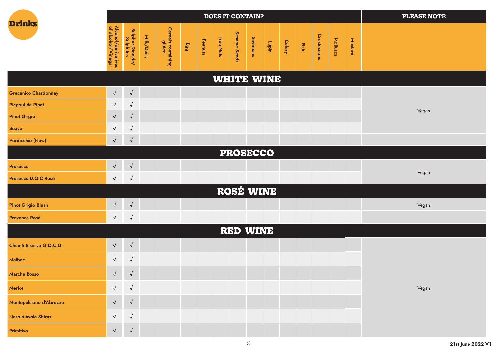|                             |                                           |                               |            |                              |     |         |           | <b>DOES IT CONTAIN?</b> |          |                   |        |                         |             |          |         | <b>PLEASE NOTE</b> |
|-----------------------------|-------------------------------------------|-------------------------------|------------|------------------------------|-----|---------|-----------|-------------------------|----------|-------------------|--------|-------------------------|-------------|----------|---------|--------------------|
| <b>Drinks</b>               | Alcohol/derivatives<br>of alcohol/Vinegar | Sulphur Dioxide/<br>Sulphites | Milk/Dairy | Cereals containing<br>gluten | 663 | Peanuts | Tree Nuts | Sesame Seeds            | Soybeans | Lupin             | Celery | $\overline{\text{Eib}}$ | Crusteceans | Molluscs | Mustard |                    |
|                             |                                           |                               |            |                              |     |         |           |                         |          | <b>WHITE WINE</b> |        |                         |             |          |         |                    |
| <b>Grecanico Chardonnay</b> | $\sqrt{ }$                                | $\sqrt{2}$                    |            |                              |     |         |           |                         |          |                   |        |                         |             |          |         |                    |
| <b>Picpoul de Pinet</b>     | $\sqrt{ }$                                | $\sqrt{2}$                    |            |                              |     |         |           |                         |          |                   |        |                         |             |          |         | Vegan              |
| <b>Pinot Grigio</b>         | $\sqrt{ }$                                | $\sqrt{2}$                    |            |                              |     |         |           |                         |          |                   |        |                         |             |          |         |                    |
| <b>Soave</b>                | $\sqrt{2}$                                | $\sqrt{2}$                    |            |                              |     |         |           |                         |          |                   |        |                         |             |          |         |                    |
| Verdicchio (New)            | $\sqrt{ }$                                | $\sqrt{ }$                    |            |                              |     |         |           |                         |          |                   |        |                         |             |          |         |                    |
|                             |                                           |                               |            |                              |     |         |           | <b>PROSECCO</b>         |          |                   |        |                         |             |          |         |                    |
| Prosecco                    | $\sqrt{ }$                                | $\sqrt{ }$                    |            |                              |     |         |           |                         |          |                   |        |                         |             |          |         | Vegan              |
| Prosecco D.O.C Rosé         | $\sqrt{ }$                                | $\sqrt{2}$                    |            |                              |     |         |           |                         |          |                   |        |                         |             |          |         |                    |
|                             |                                           |                               |            |                              |     |         |           |                         |          | ROSÉ WINE         |        |                         |             |          |         |                    |
| <b>Pinot Grigio Blush</b>   | $\sqrt{ }$                                | $\sqrt{ }$                    |            |                              |     |         |           |                         |          |                   |        |                         |             |          |         | Vegan              |
| <b>Provence Rosé</b>        | $\sqrt{ }$                                | $\sqrt{2}$                    |            |                              |     |         |           |                         |          |                   |        |                         |             |          |         |                    |
|                             |                                           |                               |            |                              |     |         |           | RED WINE                |          |                   |        |                         |             |          |         |                    |
| Chianti Riserva G.O.C.G     | $\sqrt{ }$                                | $\sqrt{ }$                    |            |                              |     |         |           |                         |          |                   |        |                         |             |          |         |                    |
| Malbec                      | $\sqrt{ }$                                | $\sqrt{2}$                    |            |                              |     |         |           |                         |          |                   |        |                         |             |          |         |                    |
| <b>Marche Rosso</b>         | $\sqrt{ }$                                | $\sqrt{ }$                    |            |                              |     |         |           |                         |          |                   |        |                         |             |          |         |                    |
| Merlot                      | $\sqrt{ }$                                | $\sqrt{2}$                    |            |                              |     |         |           |                         |          |                   |        |                         |             |          |         | Vegan              |
| Montepulciano d'Abruzzo     | $\sqrt{ }$                                | $\sqrt{ }$                    |            |                              |     |         |           |                         |          |                   |        |                         |             |          |         |                    |
| Nero d'Avola Shiraz         | $\sqrt{ }$                                | $\sqrt{2}$                    |            |                              |     |         |           |                         |          |                   |        |                         |             |          |         |                    |
| Primitivo                   | $\sqrt{ }$                                | $\vee$                        |            |                              |     |         |           |                         |          |                   |        |                         |             |          |         |                    |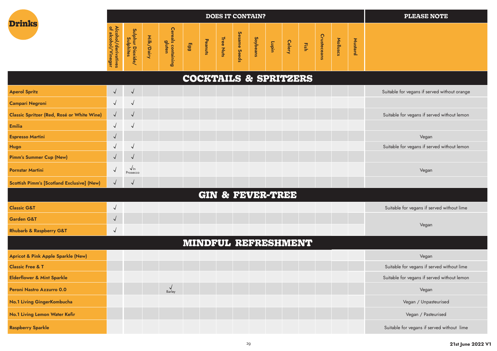| <b>Drinks</b> |  |
|---------------|--|
|               |  |

|                                                                                                |                                                                                                              |                                                       |                                                                                                                                            |                             |                                                                | <b>DOES IT CONTAIN?</b>                   |                                                                  |                                          |                       |                |      |                                                                                 |                                                      |                           | <b>PLEASE NOTE</b> |
|------------------------------------------------------------------------------------------------|--------------------------------------------------------------------------------------------------------------|-------------------------------------------------------|--------------------------------------------------------------------------------------------------------------------------------------------|-----------------------------|----------------------------------------------------------------|-------------------------------------------|------------------------------------------------------------------|------------------------------------------|-----------------------|----------------|------|---------------------------------------------------------------------------------|------------------------------------------------------|---------------------------|--------------------|
| $\mathbf{a}$<br>⊵<br>alco<br><b>Sho</b><br>हैं<br>-<br>Φ<br>-<br>Ξ.<br>쁮<br>legar<br><b>es</b> | ဖ<br>Ξ<br>=<br>┯<br>불<br>ທ<br>드<br>∸<br>-<br>5<br>Σ.<br>÷<br><u>g</u><br>w<br>$\overline{\phantom{a}}$<br>နှ | ∸<br><b></b><br>-<br>≂<br>U<br>$\overline{a}$<br>$-1$ | $\overline{a}$<br>உ<br>-<br>┶<br>≖<br>$\mathbf 0$<br>-<br>-<br>$\overline{\phantom{m}}$<br>$\overline{\phantom{m}}$<br>-<br>$\overline{a}$ | $\blacksquare$<br><b>GG</b> | ᠊ᠣ<br>ത്<br>ھ<br>-<br>-<br>$\overline{\phantom{a}}$<br>≒<br>ιñ | $\sigma$<br>-<br>÷<br>≒<br>$\overline{a}$ | n<br>Φ<br>$\overline{a}$<br>۵ï<br>-<br><b>D</b><br>n<br>Φ<br>င္တ | So<br>ಕ<br>Ō<br>ഇ<br>-<br>$\overline{a}$ | ∼<br>►<br>ত<br>-<br>− | Cele<br>۰<br>w | Fish | O<br>-<br>$\omega$<br>-<br>Φ<br>$\mathbf{p}$<br>-<br>۰<br>$\boldsymbol{\omega}$ | ∽<br>$\stackrel{\mathsf{op}}{=}$<br>┶<br><b>ISCS</b> | −<br>$\epsilon$<br>-<br>∸ |                    |

# **COCKTAILS & SPRITZERS**

| <b>Aperol Spritz</b>                              | $\sqrt{ }$   | $\sqrt{ }$                |        |                             |  |  | Suitable for vegans if served without orange |  |
|---------------------------------------------------|--------------|---------------------------|--------|-----------------------------|--|--|----------------------------------------------|--|
| Campari Negroni                                   | $\checkmark$ | $\checkmark$              |        |                             |  |  |                                              |  |
| Classic Spritzer (Red, Rosé or White Wine)        | $\sqrt{ }$   | $\sqrt{ }$                |        |                             |  |  | Suitable for vegans if served without lemon  |  |
| Emilia                                            | $\checkmark$ | $\sqrt{}$                 |        |                             |  |  |                                              |  |
| <b>Espresso Martini</b>                           | $\sqrt{ }$   |                           |        |                             |  |  | Vegan                                        |  |
| <b>Hugo</b>                                       | $\checkmark$ | $\checkmark$              |        |                             |  |  | Suitable for vegans if served without lemon  |  |
| Pimm's Summer Cup (New)                           | $\sqrt{ }$   | $\sqrt{}$                 |        |                             |  |  |                                              |  |
| Pornstar Martini                                  | $\sqrt{ }$   | $\sqrt{ \ln}$<br>Prosecco |        |                             |  |  | Vegan                                        |  |
| <b>Scottish Pimm's [Scotland Exclusive] (New)</b> | $\sqrt{ }$   | $\sqrt{}$                 |        |                             |  |  |                                              |  |
|                                                   |              |                           |        | <b>GIN &amp; FEVER-TREE</b> |  |  |                                              |  |
| <b>Classic G&amp;T</b>                            | $\sqrt{ }$   |                           |        |                             |  |  | Suitable for vegans if served without lime   |  |
| Garden G&T                                        | $\sqrt{ }$   |                           |        |                             |  |  |                                              |  |
| <b>Rhubarb &amp; Raspberry G&amp;T</b>            | $\sqrt{ }$   |                           |        |                             |  |  | Vegan                                        |  |
|                                                   |              |                           |        | MINDFUL REFRESHMENT         |  |  |                                              |  |
| Apricot & Pink Apple Sparkle (New)                |              |                           |        |                             |  |  | Vegan                                        |  |
| <b>Classic Free &amp; T</b>                       |              |                           |        |                             |  |  | Suitable for vegans if served without lime   |  |
| <b>Elderflower &amp; Mint Sparkle</b>             |              |                           |        |                             |  |  | Suitable for vegans if served without lemon  |  |
| Peroni Nastro Azzurro 0.0                         |              |                           | Barley |                             |  |  | Vegan                                        |  |
| No.1 Living GingerKombucha                        |              |                           |        |                             |  |  | Vegan / Unpasteurised                        |  |
| No.1 Living Lemon Water Kefir                     |              |                           |        |                             |  |  | Vegan / Pasteurised                          |  |
| <b>Raspberry Sparkle</b>                          |              |                           |        |                             |  |  | Suitable for vegans if served without lime   |  |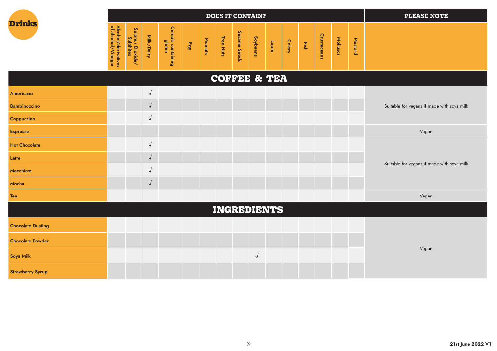

Latte

Macchiato

Mocha

|                      |                                           |                               |            |                              |     |         |           | <b>DOES IT CONTAIN?</b> |          |        |      |             |          |         | <b>PLEASE NOTE</b>                         |
|----------------------|-------------------------------------------|-------------------------------|------------|------------------------------|-----|---------|-----------|-------------------------|----------|--------|------|-------------|----------|---------|--------------------------------------------|
| <b>Drinks</b>        | Alcohol/derivatives<br>of alcohol/Vinegar | Sulphur Dioxide/<br>Sulphites | Milk/Dairy | Cereals containing<br>gluten | 663 | Peanuts | Tree Nuts | Sesame Seeds            | Soybeans | Celery | Fish | Crusteceans | Molluscs | Mustard |                                            |
|                      |                                           |                               |            |                              |     |         |           | <b>COFFEE &amp; TEA</b> |          |        |      |             |          |         |                                            |
| Americano            |                                           |                               | $\sqrt{ }$ |                              |     |         |           |                         |          |        |      |             |          |         |                                            |
| <b>Bambinoccino</b>  |                                           |                               | $\sqrt{ }$ |                              |     |         |           |                         |          |        |      |             |          |         | Suitable for vegans if made with soya milk |
| Cappuccino           |                                           |                               |            |                              |     |         |           |                         |          |        |      |             |          |         |                                            |
| <b>Espresso</b>      |                                           |                               |            |                              |     |         |           |                         |          |        |      |             |          |         | Vegan                                      |
| <b>Hot Chocolate</b> |                                           |                               |            |                              |     |         |           |                         |          |        |      |             |          |         |                                            |

#### **INGREDIENTS**

Tea and the control of the control of the control of the control of the control of the control of the control of the control of the control of the control of the control of the control of the control of the control of the

 $\sqrt{ }$ 

 $\sqrt{\phantom{a}}$ 

 $\checkmark$ 

| TMARPDIEM 1.9            |  |  |  |  |  |  |       |  |  |  |  |
|--------------------------|--|--|--|--|--|--|-------|--|--|--|--|
| <b>Chocolate Dusting</b> |  |  |  |  |  |  |       |  |  |  |  |
| <b>Chocolate Powder</b>  |  |  |  |  |  |  |       |  |  |  |  |
| Soya Milk                |  |  |  |  |  |  | Vegan |  |  |  |  |
| <b>Strawberry Syrup</b>  |  |  |  |  |  |  |       |  |  |  |  |

Suitable for vegans if made with soya milk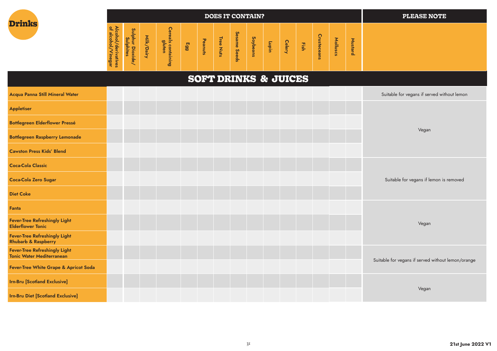| <b>Drinks</b> |  |
|---------------|--|
|               |  |

|                                                                                        |                                                                            |                            |                                                                                                                                                           |                |                                   |                                   |                                                   | <b>DOES IT CONTAIN?</b>         |                  |                               |                            |                                                                                   |                           |                                         | <b>PLEASE NOTE</b> |
|----------------------------------------------------------------------------------------|----------------------------------------------------------------------------|----------------------------|-----------------------------------------------------------------------------------------------------------------------------------------------------------|----------------|-----------------------------------|-----------------------------------|---------------------------------------------------|---------------------------------|------------------|-------------------------------|----------------------------|-----------------------------------------------------------------------------------|---------------------------|-----------------------------------------|--------------------|
| ⊵<br>$\frac{1}{2}$<br>alcol<br>ö<br>ढ<br>È<br>$\Omega$<br>'inegar<br>dir.<br><b>es</b> | ğ٦<br>►<br>=<br>힣<br>S.<br>┶<br>┙<br>$-$<br>--<br>Φ<br>ᄌ<br>≕∙<br><b>e</b> | ∽<br>₹<br>U<br>മ<br>-<br>- | <b>D</b><br>ወ<br>Ø.<br>$\overline{5}$<br>$\boldsymbol{\omega}$<br>F<br>o<br>ㅎ<br>$\overline{\mathbf{Q}}$<br>-<br>-<br>≖<br>نە<br>--<br>3<br>≕<br>$\omega$ | m<br><b>GG</b> | Đ.<br>മ<br>5<br>$\mathbf{r}$<br>귱 | Œ<br>$\mathbf \sigma$<br><u>ທ</u> | Ses<br>Ò<br>-<br>ወ<br>Se<br>$\mathbf \Phi$<br>င္တ | n<br>َق<br>ಕ<br>$\sigma$<br>sue | -<br>통<br>-<br>- | eler<br>$\tilde{\phantom{a}}$ | m<br>- -<br>$\overline{a}$ | O<br>-<br>-<br>$\Omega$<br>$\sigma$<br>O<br>$\overline{0}$<br>-<br>$\overline{a}$ | ⊵<br>$=$<br>$\omega$<br>ù | -<br>∼<br>$\omega$<br>٠<br>Ωj<br>-<br>௨ |                    |

# **SOFT DRINKS & JUICES**

| Acqua Panna Still Mineral Water                                          |  | Suitable for vegans if served without lemon        |
|--------------------------------------------------------------------------|--|----------------------------------------------------|
| <b>Appletiser</b>                                                        |  |                                                    |
| <b>Bottlegreen Elderflower Pressé</b>                                    |  |                                                    |
| <b>Bottlegreen Raspberry Lemonade</b>                                    |  | Vegan                                              |
| <b>Cawston Press Kids' Blend</b>                                         |  |                                                    |
| <b>Coca-Cola Classic</b>                                                 |  |                                                    |
| <b>Coca-Cola Zero Sugar</b>                                              |  | Suitable for vegans if lemon is removed            |
| <b>Diet Coke</b>                                                         |  |                                                    |
| Fanta                                                                    |  |                                                    |
| <b>Fever-Tree Refreshingly Light</b><br><b>Elderflower Tonic</b>         |  | Vegan                                              |
| <b>Fever-Tree Refreshingly Light</b><br><b>Rhubarb &amp; Raspberry</b>   |  |                                                    |
| <b>Fever-Tree Refreshingly Light</b><br><b>Tonic Water Mediterranean</b> |  |                                                    |
| Fever-Tree White Grape & Apricot Soda                                    |  | Suitable for vegans if served without lemon/orange |
| <b>Irn-Bru [Scotland Exclusive]</b>                                      |  |                                                    |
| <b>Irn-Bru Diet [Scotland Exclusive]</b>                                 |  | Vegan                                              |